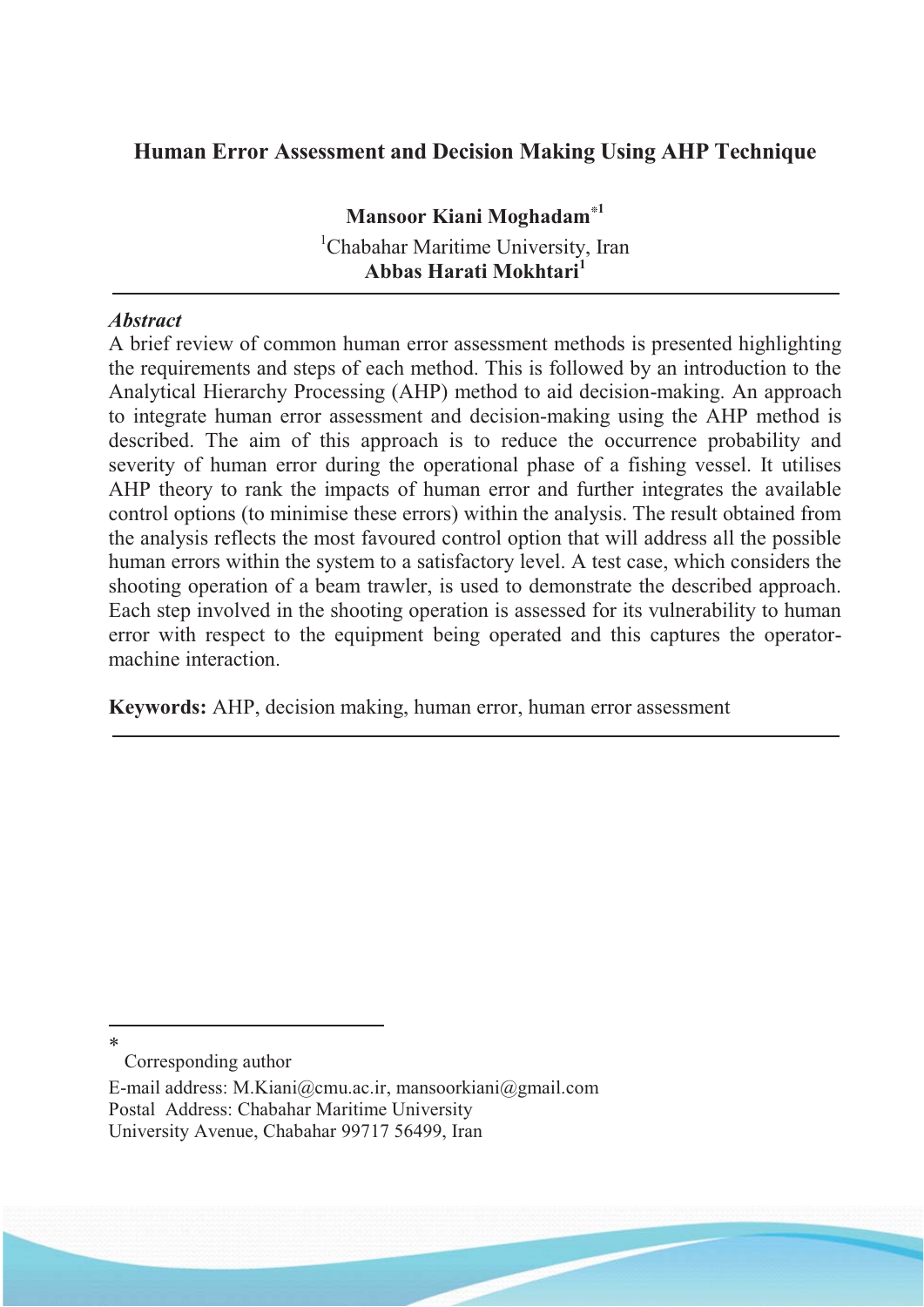### **Human Error Assessment and Decision Making Using AHP Technique**

**Mansoor Kiani Moghadam\*<sup>1</sup>** <sup>1</sup>Chabahar Maritime University, Iran **Abbas Harati Mokhtari<sup>1</sup>**

#### *Abstract*

A brief review of common human error assessment methods is presented highlighting the requirements and steps of each method. This is followed by an introduction to the Analytical Hierarchy Processing (AHP) method to aid decision-making. An approach to integrate human error assessment and decision-making using the AHP method is described. The aim of this approach is to reduce the occurrence probability and severity of human error during the operational phase of a fishing vessel. It utilises AHP theory to rank the impacts of human error and further integrates the available control options (to minimise these errors) within the analysis. The result obtained from the analysis reflects the most favoured control option that will address all the possible human errors within the system to a satisfactory level. A test case, which considers the shooting operation of a beam trawler, is used to demonstrate the described approach. Each step involved in the shooting operation is assessed for its vulnerability to human error with respect to the equipment being operated and this captures the operatormachine interaction.

**Keywords:** AHP, decision making, human error, human error assessment

Corresponding author

 $\overline{a}$ \*

E-mail address: M.Kiani@cmu.ac.ir, mansoorkiani@gmail.com Postal Address: Chabahar Maritime University University Avenue, Chabahar 99717 56499, Iran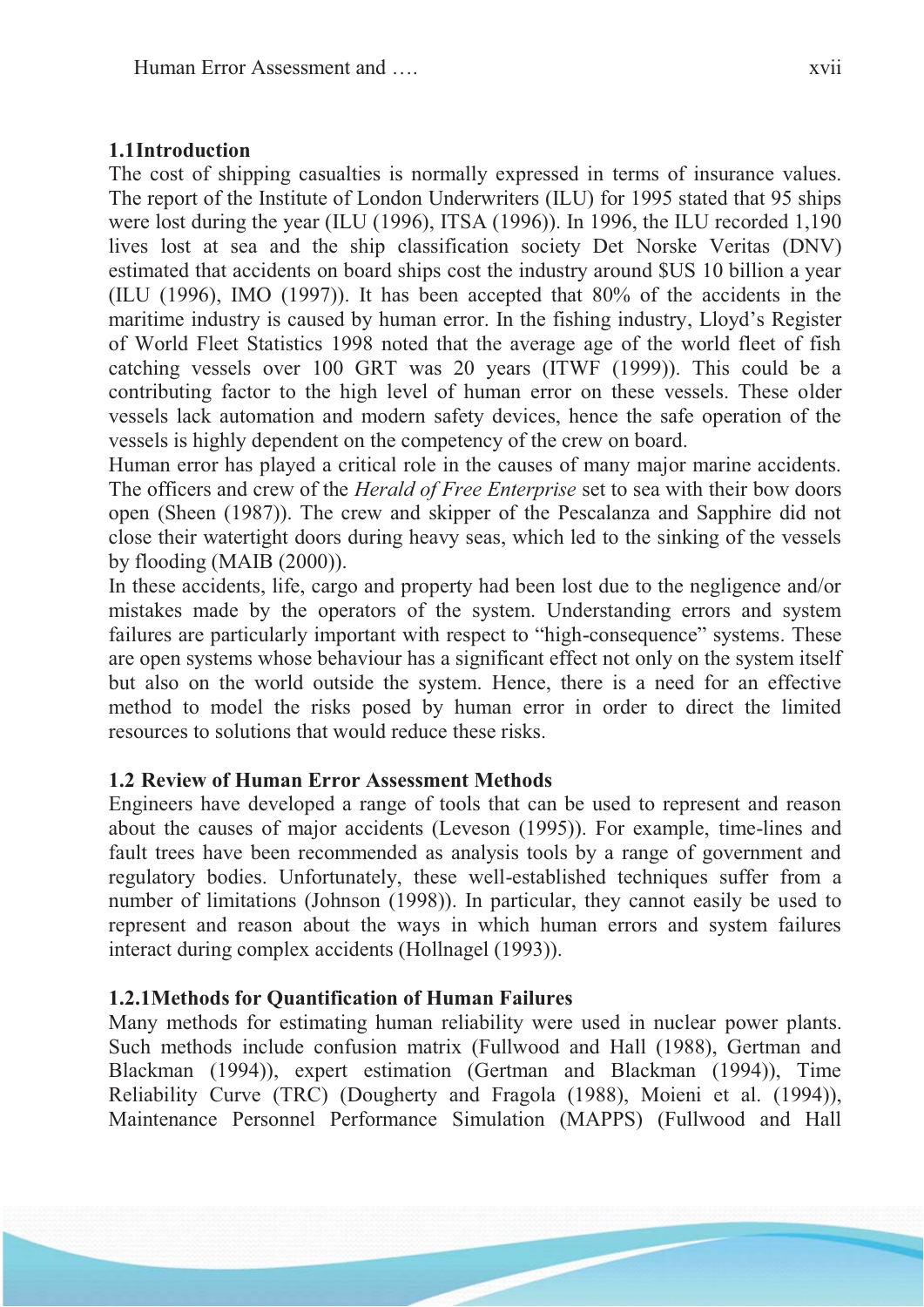#### **1.1 Introduction**

The cost of shipping casualties is normally expressed in terms of insurance values. The report of the Institute of London Underwriters (ILU) for 1995 stated that 95 ships were lost during the year (ILU (1996), ITSA (1996)). In 1996, the ILU recorded 1,190 lives lost at sea and the ship classification society Det Norske Veritas (DNV) estimated that accidents on board ships cost the industry around \$US 10 billion a year (ILU (1996), IMO (1997)). It has been accepted that 80% of the accidents in the maritime industry is caused by human error. In the fishing industry, Lloyd's Register of World Fleet Statistics 1998 noted that the average age of the world fleet of fish catching vessels over 100 GRT was 20 years (ITWF (1999)). This could be a contributing factor to the high level of human error on these vessels. These older vessels lack automation and modern safety devices, hence the safe operation of the vessels is highly dependent on the competency of the crew on board.

Human error has played a critical role in the causes of many major marine accidents. The officers and crew of the *Herald of Free Enterprise* set to sea with their bow doors open (Sheen (1987)). The crew and skipper of the Pescalanza and Sapphire did not close their watertight doors during heavy seas, which led to the sinking of the vessels by flooding (MAIB (2000)).

In these accidents, life, cargo and property had been lost due to the negligence and/or mistakes made by the operators of the system. Understanding errors and system failures are particularly important with respect to "high-consequence" systems. These are open systems whose behaviour has a significant effect not only on the system itself but also on the world outside the system. Hence, there is a need for an effective method to model the risks posed by human error in order to direct the limited resources to solutions that would reduce these risks.

#### **1.2 Review of Human Error Assessment Methods**

Engineers have developed a range of tools that can be used to represent and reason about the causes of major accidents (Leveson (1995)). For example, time-lines and fault trees have been recommended as analysis tools by a range of government and regulatory bodies. Unfortunately, these well-established techniques suffer from a number of limitations (Johnson (1998)). In particular, they cannot easily be used to represent and reason about the ways in which human errors and system failures interact during complex accidents (Hollnagel (1993)).

#### **1.2.1Methods for Quantification of Human Failures**

Many methods for estimating human reliability were used in nuclear power plants. Such methods include confusion matrix (Fullwood and Hall (1988), Gertman and Blackman (1994)), expert estimation (Gertman and Blackman (1994)), Time Reliability Curve (TRC) (Dougherty and Fragola (1988), Moieni et al. (1994)), Maintenance Personnel Performance Simulation (MAPPS) (Fullwood and Hall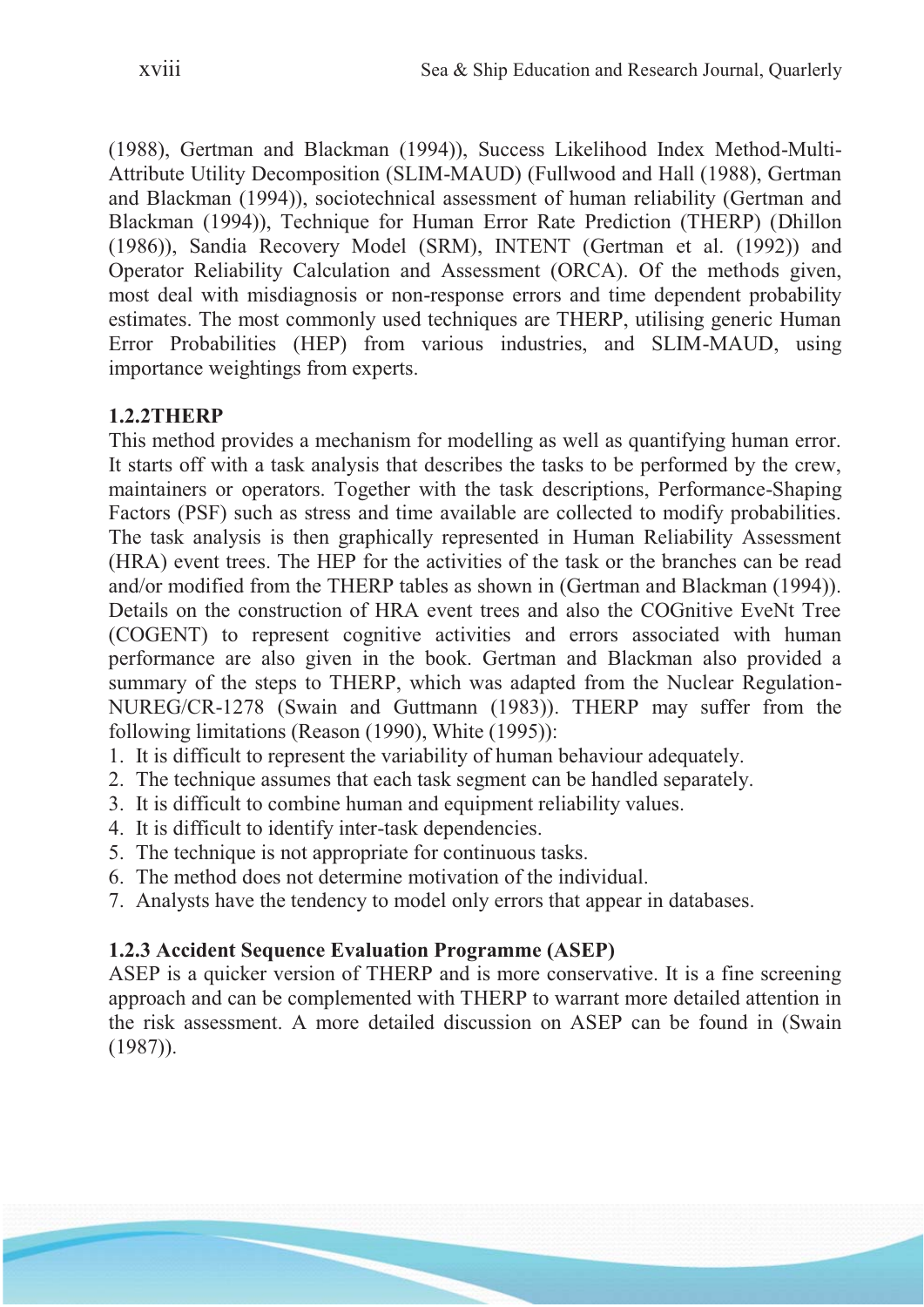(1988), Gertman and Blackman (1994)), Success Likelihood Index Method-Multi-Attribute Utility Decomposition (SLIM-MAUD) (Fullwood and Hall (1988), Gertman and Blackman (1994)), sociotechnical assessment of human reliability (Gertman and Blackman (1994)), Technique for Human Error Rate Prediction (THERP) (Dhillon (1986)), Sandia Recovery Model (SRM), INTENT (Gertman et al. (1992)) and Operator Reliability Calculation and Assessment (ORCA). Of the methods given, most deal with misdiagnosis or non-response errors and time dependent probability estimates. The most commonly used techniques are THERP, utilising generic Human Error Probabilities (HEP) from various industries, and SLIM-MAUD, using importance weightings from experts.

### **1.2.2THERP**

This method provides a mechanism for modelling as well as quantifying human error. It starts off with a task analysis that describes the tasks to be performed by the crew, maintainers or operators. Together with the task descriptions, Performance-Shaping Factors (PSF) such as stress and time available are collected to modify probabilities. The task analysis is then graphically represented in Human Reliability Assessment (HRA) event trees. The HEP for the activities of the task or the branches can be read and/or modified from the THERP tables as shown in (Gertman and Blackman (1994)). Details on the construction of HRA event trees and also the COGnitive EveNt Tree (COGENT) to represent cognitive activities and errors associated with human performance are also given in the book. Gertman and Blackman also provided a summary of the steps to THERP, which was adapted from the Nuclear Regulation-NUREG/CR-1278 (Swain and Guttmann (1983)). THERP may suffer from the following limitations (Reason (1990), White (1995)):

- 1. It is difficult to represent the variability of human behaviour adequately.
- 2. The technique assumes that each task segment can be handled separately.
- 3. It is difficult to combine human and equipment reliability values.
- 4. It is difficult to identify inter-task dependencies.
- 5. The technique is not appropriate for continuous tasks.
- 6. The method does not determine motivation of the individual.
- 7. Analysts have the tendency to model only errors that appear in databases.

### **1.2.3 Accident Sequence Evaluation Programme (ASEP)**

ASEP is a quicker version of THERP and is more conservative. It is a fine screening approach and can be complemented with THERP to warrant more detailed attention in the risk assessment. A more detailed discussion on ASEP can be found in (Swain (1987)).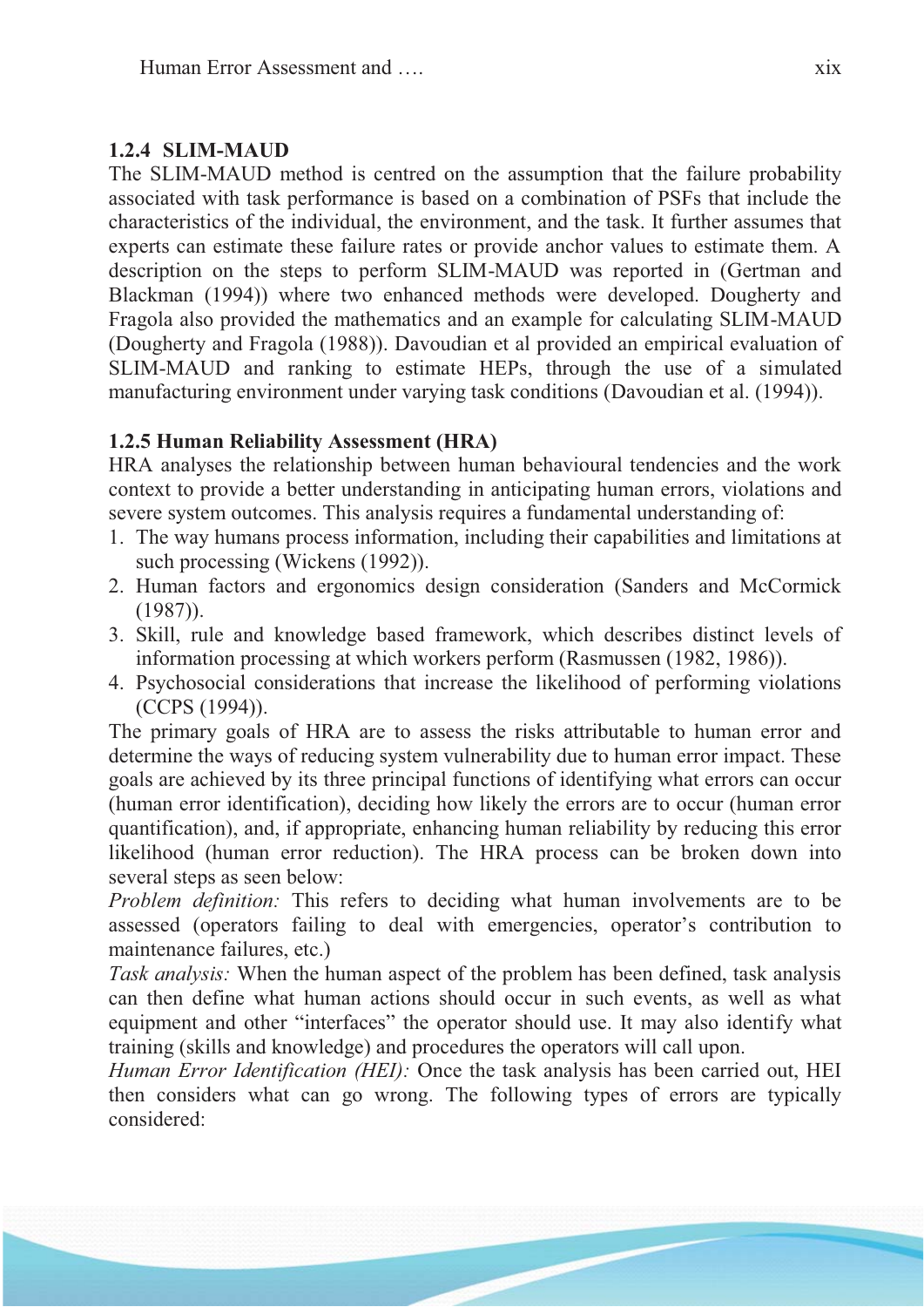#### **1.2.4 SLIM-MAUD**

The SLIM-MAUD method is centred on the assumption that the failure probability associated with task performance is based on a combination of PSFs that include the characteristics of the individual, the environment, and the task. It further assumes that experts can estimate these failure rates or provide anchor values to estimate them. A description on the steps to perform SLIM-MAUD was reported in (Gertman and Blackman (1994)) where two enhanced methods were developed. Dougherty and Fragola also provided the mathematics and an example for calculating SLIM-MAUD (Dougherty and Fragola (1988)). Davoudian et al provided an empirical evaluation of SLIM-MAUD and ranking to estimate HEPs, through the use of a simulated manufacturing environment under varying task conditions (Davoudian et al. (1994)).

### **1.2.5 Human Reliability Assessment (HRA)**

HRA analyses the relationship between human behavioural tendencies and the work context to provide a better understanding in anticipating human errors, violations and severe system outcomes. This analysis requires a fundamental understanding of:

- 1. The way humans process information, including their capabilities and limitations at such processing (Wickens (1992)).
- 2. Human factors and ergonomics design consideration (Sanders and McCormick (1987)).
- 3. Skill, rule and knowledge based framework, which describes distinct levels of information processing at which workers perform (Rasmussen (1982, 1986)).
- 4. Psychosocial considerations that increase the likelihood of performing violations (CCPS (1994)).

The primary goals of HRA are to assess the risks attributable to human error and determine the ways of reducing system vulnerability due to human error impact. These goals are achieved by its three principal functions of identifying what errors can occur (human error identification), deciding how likely the errors are to occur (human error quantification), and, if appropriate, enhancing human reliability by reducing this error likelihood (human error reduction). The HRA process can be broken down into several steps as seen below:

*Problem definition:* This refers to deciding what human involvements are to be assessed (operators failing to deal with emergencies, operator's contribution to maintenance failures, etc.)

*Task analysis:* When the human aspect of the problem has been defined, task analysis can then define what human actions should occur in such events, as well as what equipment and other "interfaces" the operator should use. It may also identify what training (skills and knowledge) and procedures the operators will call upon.

*Human Error Identification (HEI):* Once the task analysis has been carried out, HEI then considers what can go wrong. The following types of errors are typically considered: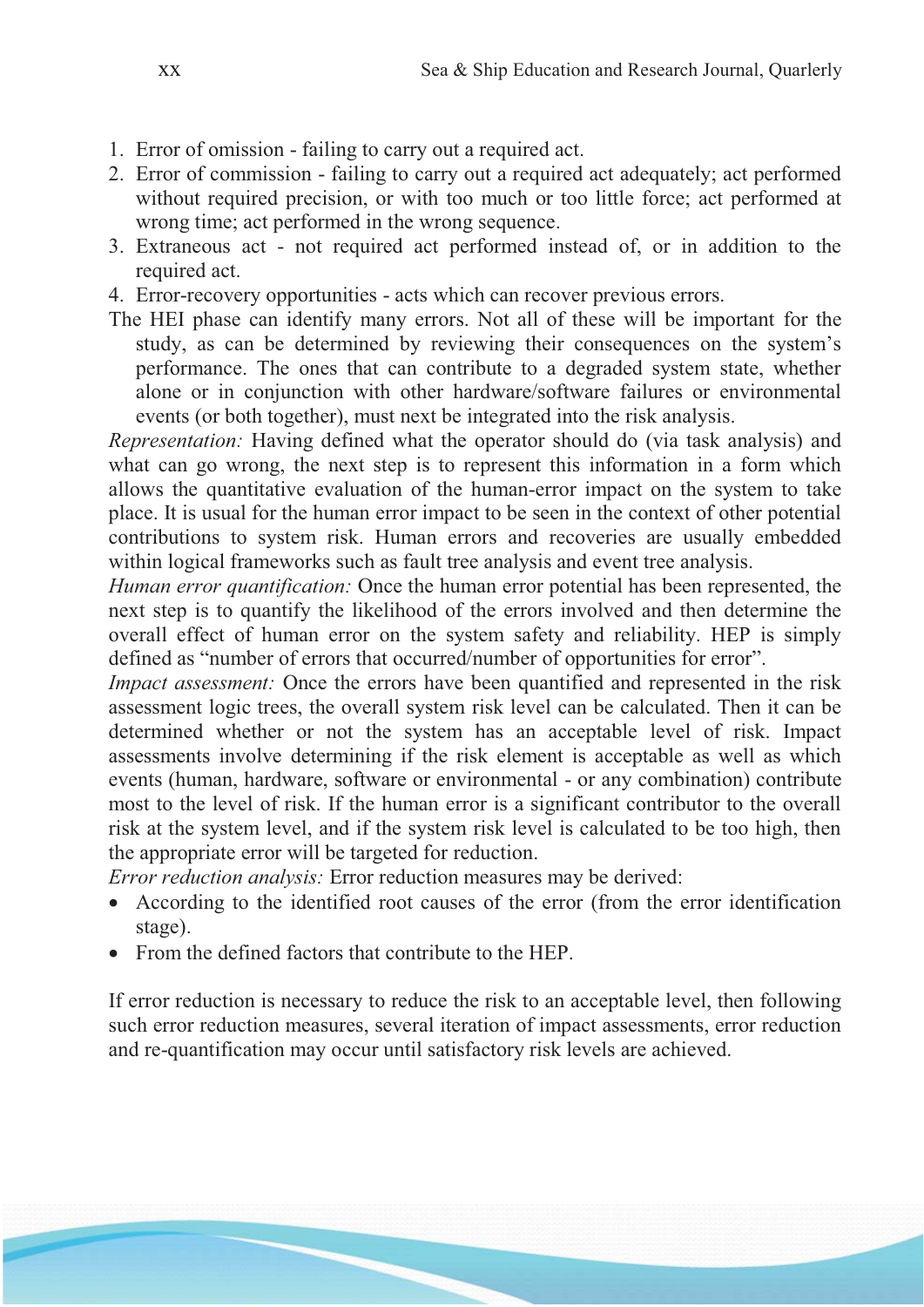- 1. Error of omission failing to carry out a required act.
- 2. Error of commission failing to carry out a required act adequately; act performed without required precision, or with too much or too little force; act performed at wrong time; act performed in the wrong sequence.
- 3. Extraneous act not required act performed instead of, or in addition to the required act.
- 4. Error-recovery opportunities acts which can recover previous errors.
- The HEI phase can identify many errors. Not all of these will be important for the study, as can be determined by reviewing their consequences on the system's performance. The ones that can contribute to a degraded system state, whether alone or in conjunction with other hardware/software failures or environmental events (or both together), must next be integrated into the risk analysis.

*Representation:* Having defined what the operator should do (via task analysis) and what can go wrong, the next step is to represent this information in a form which allows the quantitative evaluation of the human-error impact on the system to take place. It is usual for the human error impact to be seen in the context of other potential contributions to system risk. Human errors and recoveries are usually embedded within logical frameworks such as fault tree analysis and event tree analysis.

*Human error quantification:* Once the human error potential has been represented, the next step is to quantify the likelihood of the errors involved and then determine the overall effect of human error on the system safety and reliability. HEP is simply defined as "number of errors that occurred/number of opportunities for error".

*Impact assessment:* Once the errors have been quantified and represented in the risk assessment logic trees, the overall system risk level can be calculated. Then it can be determined whether or not the system has an acceptable level of risk. Impact assessments involve determining if the risk element is acceptable as well as which events (human, hardware, software or environmental - or any combination) contribute most to the level of risk. If the human error is a significant contributor to the overall risk at the system level, and if the system risk level is calculated to be too high, then the appropriate error will be targeted for reduction.

*Error reduction analysis:* Error reduction measures may be derived:

- $\bullet$  According to the identified root causes of the error (from the error identification stage).
- From the defined factors that contribute to the HEP.

If error reduction is necessary to reduce the risk to an acceptable level, then following such error reduction measures, several iteration of impact assessments, error reduction and re-quantification may occur until satisfactory risk levels are achieved.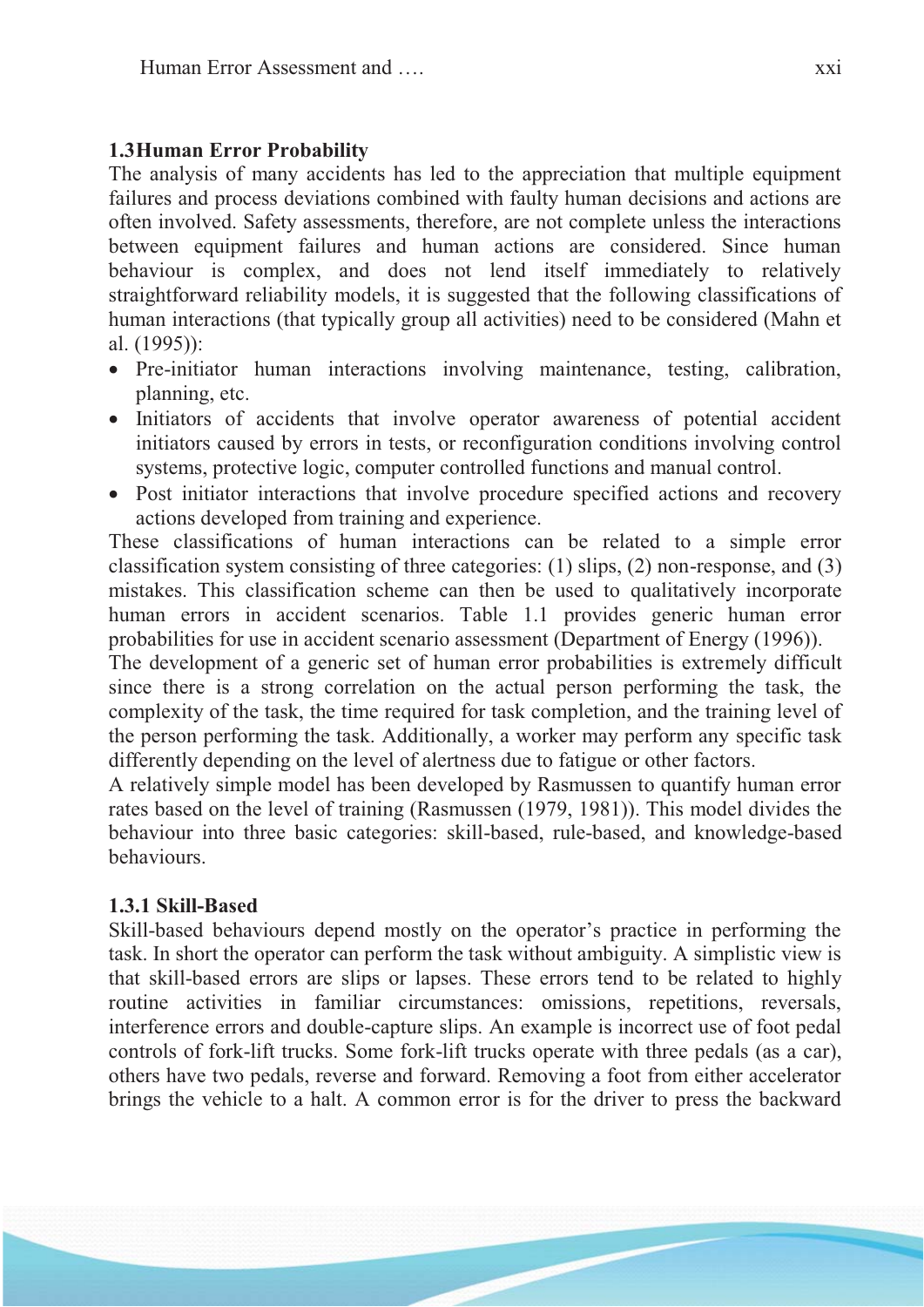### **1.3 Human Error Probability**

The analysis of many accidents has led to the appreciation that multiple equipment failures and process deviations combined with faulty human decisions and actions are often involved. Safety assessments, therefore, are not complete unless the interactions between equipment failures and human actions are considered. Since human behaviour is complex, and does not lend itself immediately to relatively straightforward reliability models, it is suggested that the following classifications of human interactions (that typically group all activities) need to be considered (Mahn et al. (1995)):

- Pre-initiator human interactions involving maintenance, testing, calibration, planning, etc.
- Initiators of accidents that involve operator awareness of potential accident initiators caused by errors in tests, or reconfiguration conditions involving control systems, protective logic, computer controlled functions and manual control.
- Post initiator interactions that involve procedure specified actions and recovery actions developed from training and experience.

These classifications of human interactions can be related to a simple error classification system consisting of three categories: (1) slips, (2) non-response, and (3) mistakes. This classification scheme can then be used to qualitatively incorporate human errors in accident scenarios. Table 1.1 provides generic human error probabilities for use in accident scenario assessment (Department of Energy (1996)).

The development of a generic set of human error probabilities is extremely difficult since there is a strong correlation on the actual person performing the task, the complexity of the task, the time required for task completion, and the training level of the person performing the task. Additionally, a worker may perform any specific task differently depending on the level of alertness due to fatigue or other factors.

A relatively simple model has been developed by Rasmussen to quantify human error rates based on the level of training (Rasmussen (1979, 1981)). This model divides the behaviour into three basic categories: skill-based, rule-based, and knowledge-based behaviours.

#### **1.3.1 Skill-Based**

Skill-based behaviours depend mostly on the operator's practice in performing the task. In short the operator can perform the task without ambiguity. A simplistic view is that skill-based errors are slips or lapses. These errors tend to be related to highly routine activities in familiar circumstances: omissions, repetitions, reversals, interference errors and double-capture slips. An example is incorrect use of foot pedal controls of fork-lift trucks. Some fork-lift trucks operate with three pedals (as a car), others have two pedals, reverse and forward. Removing a foot from either accelerator brings the vehicle to a halt. A common error is for the driver to press the backward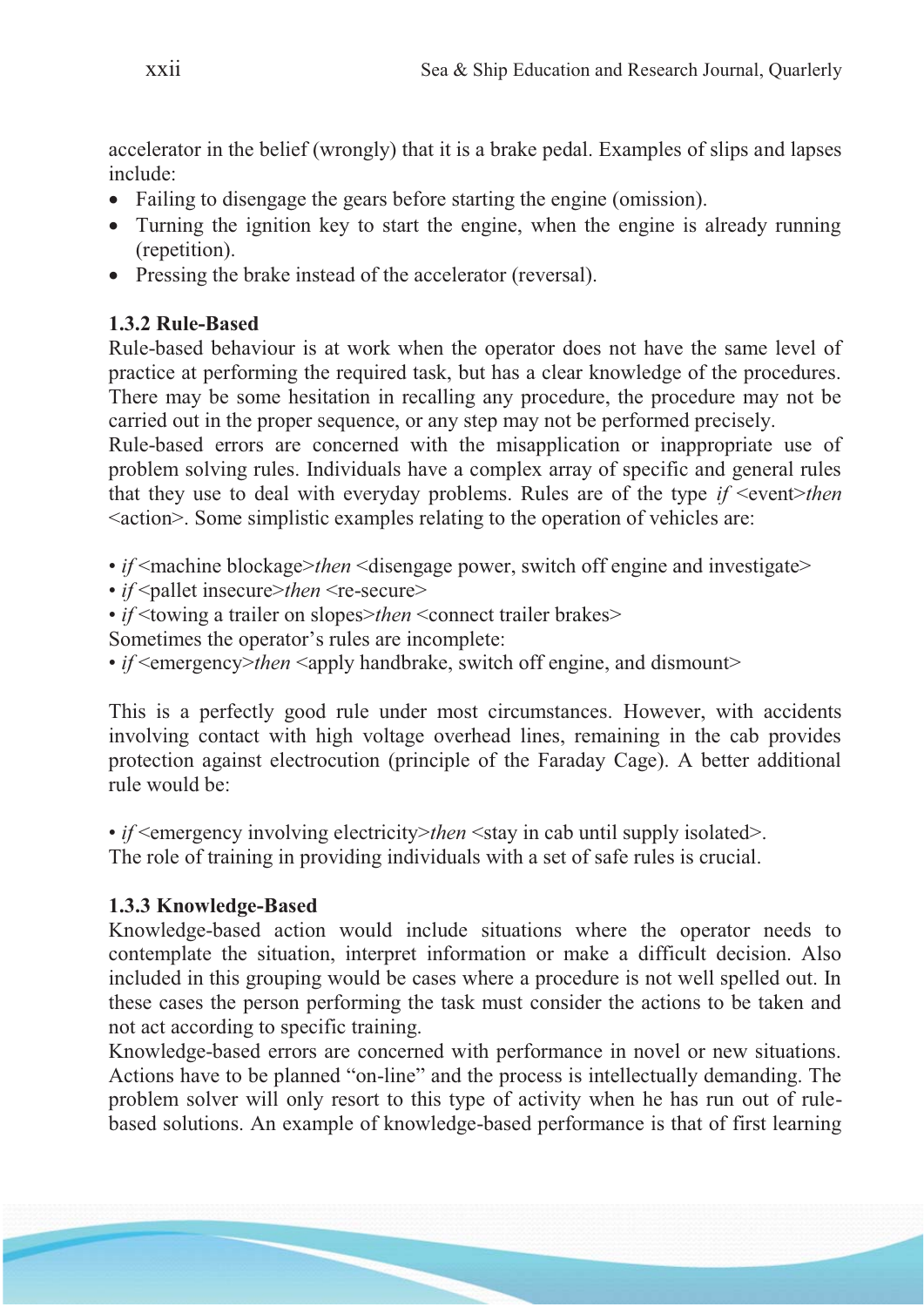accelerator in the belief (wrongly) that it is a brake pedal. Examples of slips and lapses include:

- Failing to disengage the gears before starting the engine (omission).
- Turning the ignition key to start the engine, when the engine is already running (repetition).
- Pressing the brake instead of the accelerator (reversal).

# **1.3.2 Rule-Based**

Rule-based behaviour is at work when the operator does not have the same level of practice at performing the required task, but has a clear knowledge of the procedures. There may be some hesitation in recalling any procedure, the procedure may not be carried out in the proper sequence, or any step may not be performed precisely.

Rule-based errors are concerned with the misapplication or inappropriate use of problem solving rules. Individuals have a complex array of specific and general rules that they use to deal with everyday problems. Rules are of the type  $if$   $\leq$  event $\geq$  then <action>. Some simplistic examples relating to the operation of vehicles are:

- *if*  $\leq$  machine blockage>*then*  $\leq$  disengage power, switch off engine and investigate>
- *if* <pallet insecure>*then* <re-secure>
- *if* <towing a trailer on slopes>*then* <connect trailer brakes>
- Sometimes the operator's rules are incomplete:
- *if* <emergency>*then* <apply handbrake, switch off engine, and dismount>

This is a perfectly good rule under most circumstances. However, with accidents involving contact with high voltage overhead lines, remaining in the cab provides protection against electrocution (principle of the Faraday Cage). A better additional rule would be:

• *if* <emergency involving electricity>*then* <stay in cab until supply isolated>. The role of training in providing individuals with a set of safe rules is crucial.

# **1.3.3 Knowledge-Based**

Knowledge-based action would include situations where the operator needs to contemplate the situation, interpret information or make a difficult decision. Also included in this grouping would be cases where a procedure is not well spelled out. In these cases the person performing the task must consider the actions to be taken and not act according to specific training.

Knowledge-based errors are concerned with performance in novel or new situations. Actions have to be planned "on-line" and the process is intellectually demanding. The problem solver will only resort to this type of activity when he has run out of rulebased solutions. An example of knowledge-based performance is that of first learning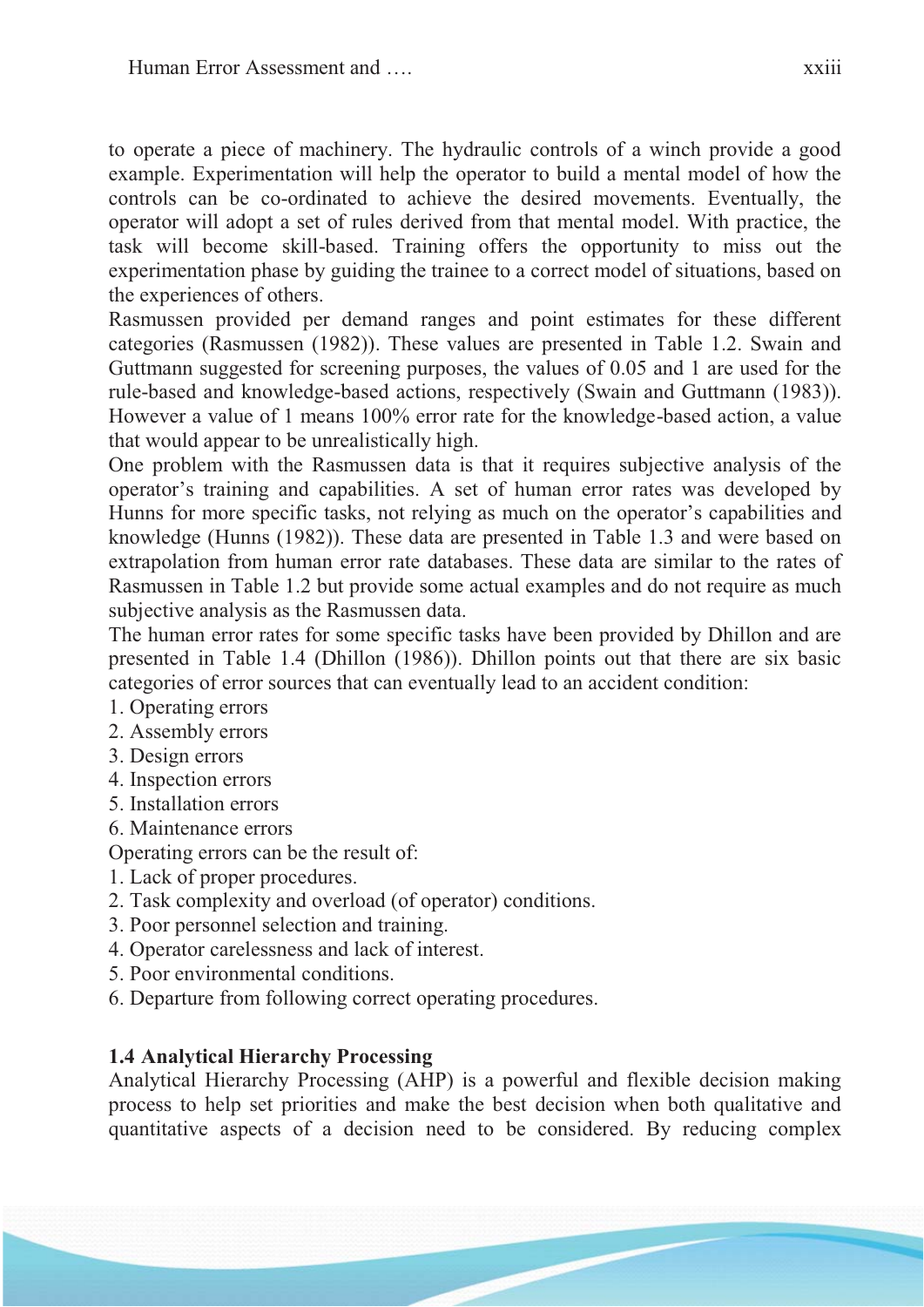to operate a piece of machinery. The hydraulic controls of a winch provide a good example. Experimentation will help the operator to build a mental model of how the controls can be co-ordinated to achieve the desired movements. Eventually, the operator will adopt a set of rules derived from that mental model. With practice, the task will become skill-based. Training offers the opportunity to miss out the experimentation phase by guiding the trainee to a correct model of situations, based on the experiences of others.

Rasmussen provided per demand ranges and point estimates for these different categories (Rasmussen (1982)). These values are presented in Table 1.2. Swain and Guttmann suggested for screening purposes, the values of 0.05 and 1 are used for the rule-based and knowledge-based actions, respectively (Swain and Guttmann (1983)). However a value of 1 means 100% error rate for the knowledge-based action, a value that would appear to be unrealistically high.

One problem with the Rasmussen data is that it requires subjective analysis of the operator's training and capabilities. A set of human error rates was developed by Hunns for more specific tasks, not relying as much on the operator's capabilities and knowledge (Hunns (1982)). These data are presented in Table 1.3 and were based on extrapolation from human error rate databases. These data are similar to the rates of Rasmussen in Table 1.2 but provide some actual examples and do not require as much subjective analysis as the Rasmussen data.

The human error rates for some specific tasks have been provided by Dhillon and are presented in Table 1.4 (Dhillon (1986)). Dhillon points out that there are six basic categories of error sources that can eventually lead to an accident condition:

- 1. Operating errors
- 2. Assembly errors
- 3. Design errors
- 4. Inspection errors
- 5. Installation errors
- 6. Maintenance errors

Operating errors can be the result of:

- 1. Lack of proper procedures.
- 2. Task complexity and overload (of operator) conditions.
- 3. Poor personnel selection and training.
- 4. Operator carelessness and lack of interest.
- 5. Poor environmental conditions.
- 6. Departure from following correct operating procedures.

### **1.4 Analytical Hierarchy Processing**

Analytical Hierarchy Processing (AHP) is a powerful and flexible decision making process to help set priorities and make the best decision when both qualitative and quantitative aspects of a decision need to be considered. By reducing complex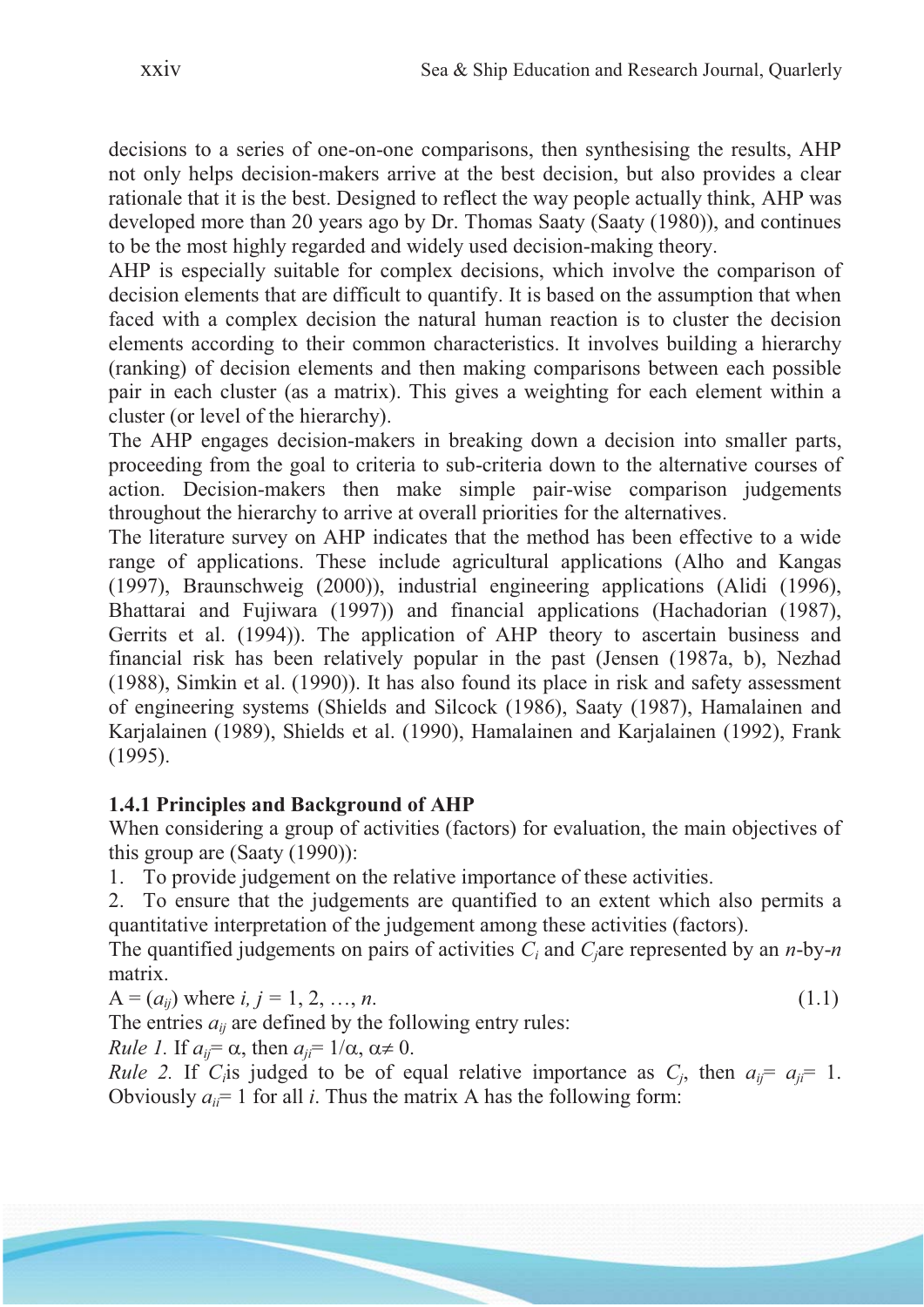decisions to a series of one-on-one comparisons, then synthesising the results, AHP not only helps decision-makers arrive at the best decision, but also provides a clear rationale that it is the best. Designed to reflect the way people actually think, AHP was developed more than 20 years ago by Dr. Thomas Saaty (Saaty (1980)), and continues to be the most highly regarded and widely used decision-making theory.

AHP is especially suitable for complex decisions, which involve the comparison of decision elements that are difficult to quantify. It is based on the assumption that when faced with a complex decision the natural human reaction is to cluster the decision elements according to their common characteristics. It involves building a hierarchy (ranking) of decision elements and then making comparisons between each possible pair in each cluster (as a matrix). This gives a weighting for each element within a cluster (or level of the hierarchy).

The AHP engages decision-makers in breaking down a decision into smaller parts, proceeding from the goal to criteria to sub-criteria down to the alternative courses of action. Decision-makers then make simple pair-wise comparison judgements throughout the hierarchy to arrive at overall priorities for the alternatives.

The literature survey on AHP indicates that the method has been effective to a wide range of applications. These include agricultural applications (Alho and Kangas (1997), Braunschweig (2000)), industrial engineering applications (Alidi (1996), Bhattarai and Fujiwara (1997)) and financial applications (Hachadorian (1987), Gerrits et al. (1994)). The application of AHP theory to ascertain business and financial risk has been relatively popular in the past (Jensen (1987a, b), Nezhad (1988), Simkin et al. (1990)). It has also found its place in risk and safety assessment of engineering systems (Shields and Silcock (1986), Saaty (1987), Hamalainen and Karjalainen (1989), Shields et al. (1990), Hamalainen and Karjalainen (1992), Frank (1995).

### **1.4.1 Principles and Background of AHP**

When considering a group of activities (factors) for evaluation, the main objectives of this group are (Saaty (1990)):

1. To provide judgement on the relative importance of these activities.

2. To ensure that the judgements are quantified to an extent which also permits a quantitative interpretation of the judgement among these activities (factors).

The quantified judgements on pairs of activities *Ci* and *Cj*are represented by an *n*-by-*n* matrix.

$$
A = (a_{ij}) where i, j = 1, 2, ..., n.
$$
 (1.1)

The entries  $a_{ij}$  are defined by the following entry rules:

*Rule 1.* If  $a_{ii} = \alpha$ , then  $a_{ii} = 1/\alpha$ ,  $\alpha \neq 0$ .

*Rule 2.* If *C<sub>i</sub>*is judged to be of equal relative importance as *C<sub>j</sub>*, then  $a_{ij} = a_{ji} = 1$ . Obviously  $a_{ii}$  = 1 for all *i*. Thus the matrix A has the following form: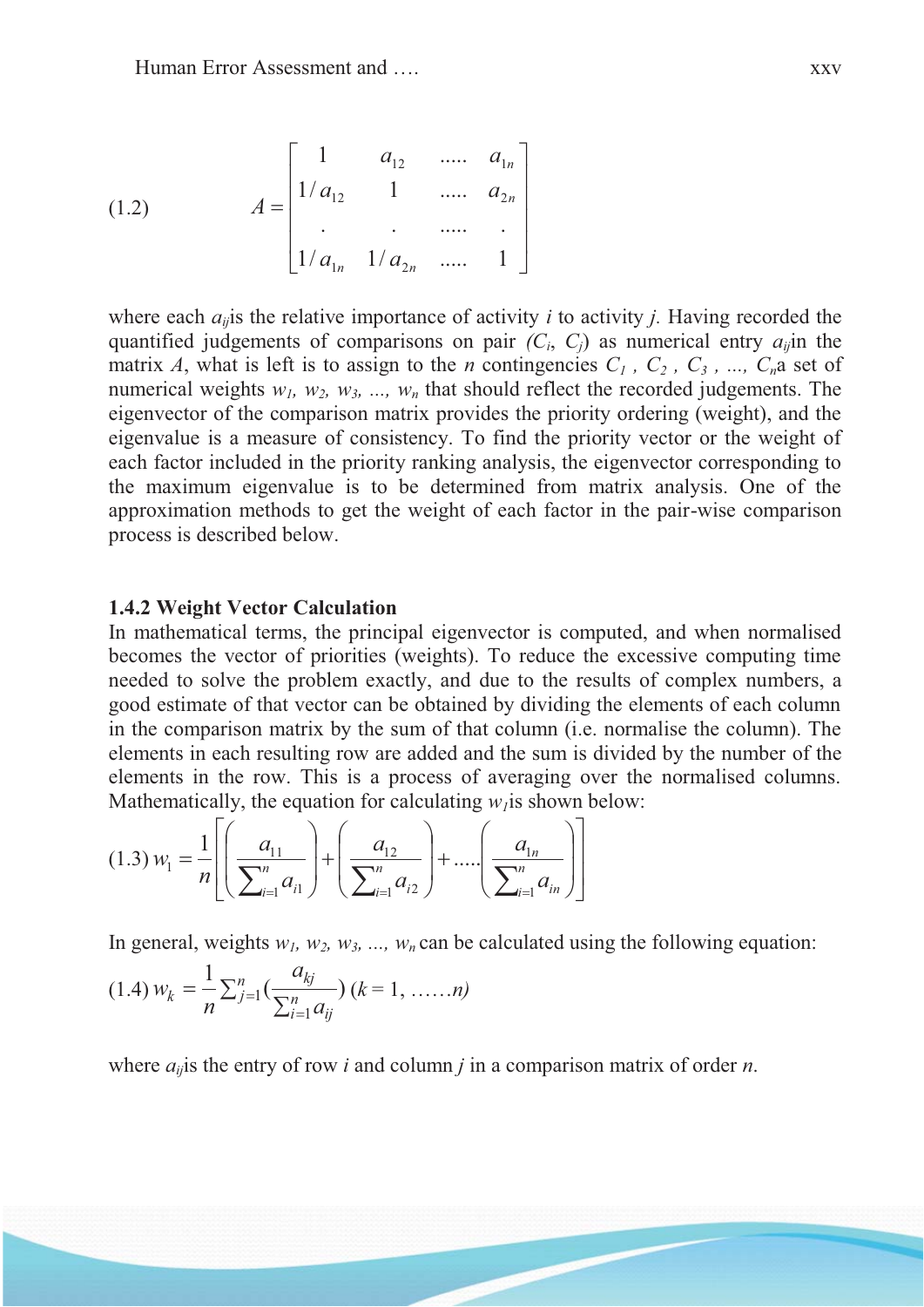(1.2) 
$$
A = \begin{bmatrix} 1 & a_{12} & \dots & a_{1n} \\ 1/a_{12} & 1 & \dots & a_{2n} \\ \vdots & \vdots & \ddots & \vdots \\ 1/a_{1n} & 1/a_{2n} & \dots & 1 \end{bmatrix}
$$

where each  $a_{ij}$  is the relative importance of activity *i* to activity *j*. Having recorded the quantified judgements of comparisons on pair  $(C_i, C_j)$  as numerical entry  $a_{ij}$  in the matrix *A*, what is left is to assign to the *n* contingencies  $C_1$ ,  $C_2$ ,  $C_3$ , ...,  $C_n$  a set of numerical weights  $w_1$ ,  $w_2$ ,  $w_3$ , ...,  $w_n$  that should reflect the recorded judgements. The eigenvector of the comparison matrix provides the priority ordering (weight), and the eigenvalue is a measure of consistency. To find the priority vector or the weight of each factor included in the priority ranking analysis, the eigenvector corresponding to the maximum eigenvalue is to be determined from matrix analysis. One of the approximation methods to get the weight of each factor in the pair-wise comparison process is described below.

#### **1.4.2 Weight Vector Calculation**

In mathematical terms, the principal eigenvector is computed, and when normalised becomes the vector of priorities (weights). To reduce the excessive computing time needed to solve the problem exactly, and due to the results of complex numbers, a good estimate of that vector can be obtained by dividing the elements of each column in the comparison matrix by the sum of that column (i.e. normalise the column). The elements in each resulting row are added and the sum is divided by the number of the elements in the row. This is a process of averaging over the normalised columns. Mathematically, the equation for calculating  $w_l$  is shown below:

$$
(1.3) w_1 = \frac{1}{n} \left[ \left( \frac{a_{11}}{\sum_{i=1}^n a_{i1}} \right) + \left( \frac{a_{12}}{\sum_{i=1}^n a_{i2}} \right) + \dots + \left( \frac{a_{1n}}{\sum_{i=1}^n a_{in}} \right) \right]
$$

In general, weights  $w_1, w_2, w_3, ..., w_n$  can be calculated using the following equation:

$$
(1.4) w_k = \frac{1}{n} \sum_{j=1}^n \left( \frac{a_{kj}}{\sum_{i=1}^n a_{ij}} \right) (k = 1, \dots, n)
$$

where  $a_{ij}$  is the entry of row *i* and column *j* in a comparison matrix of order *n*.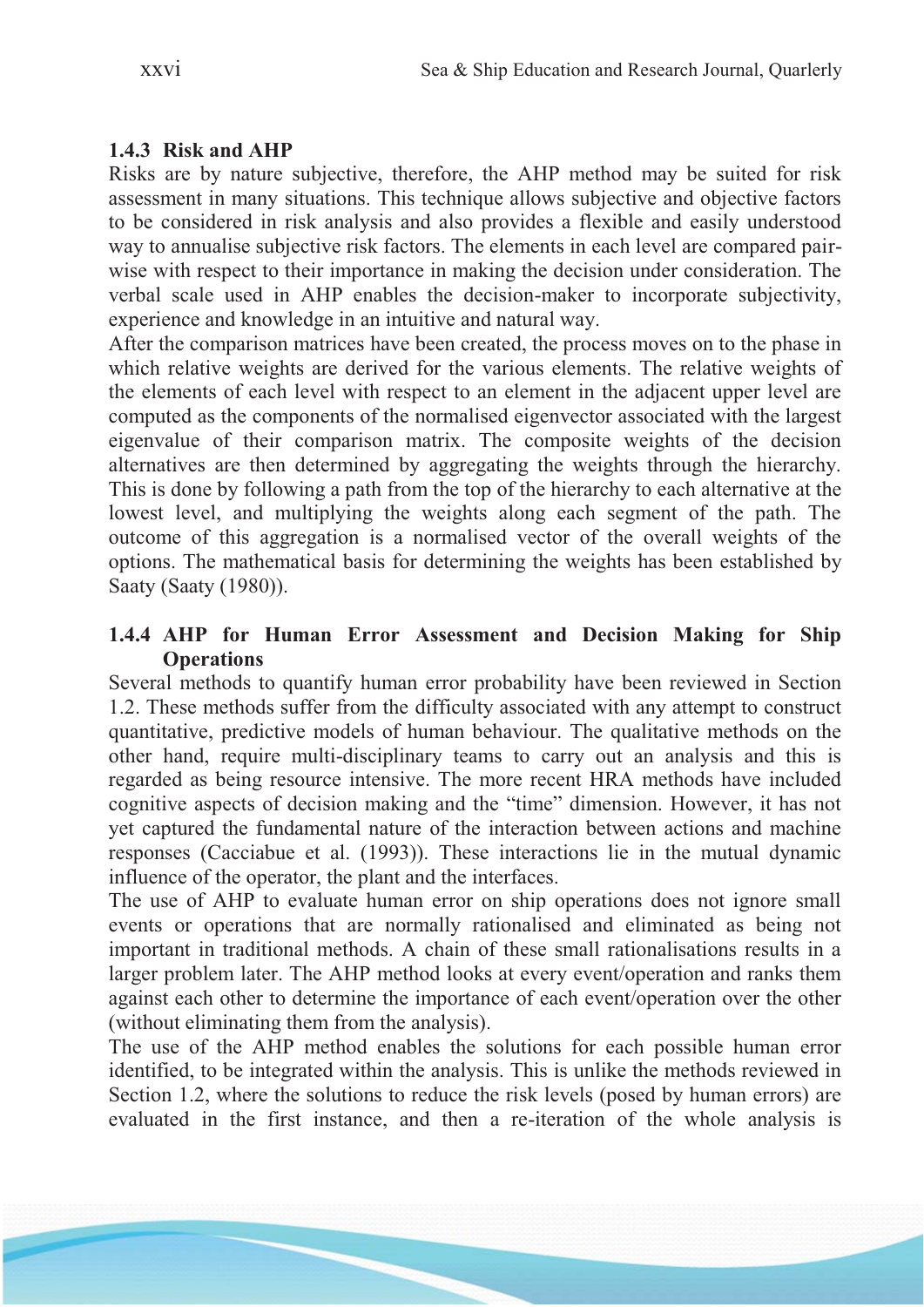### **1.4.3 Risk and AHP**

Risks are by nature subjective, therefore, the AHP method may be suited for risk assessment in many situations. This technique allows subjective and objective factors to be considered in risk analysis and also provides a flexible and easily understood way to annualise subjective risk factors. The elements in each level are compared pairwise with respect to their importance in making the decision under consideration. The verbal scale used in AHP enables the decision-maker to incorporate subjectivity, experience and knowledge in an intuitive and natural way.

After the comparison matrices have been created, the process moves on to the phase in which relative weights are derived for the various elements. The relative weights of the elements of each level with respect to an element in the adjacent upper level are computed as the components of the normalised eigenvector associated with the largest eigenvalue of their comparison matrix. The composite weights of the decision alternatives are then determined by aggregating the weights through the hierarchy. This is done by following a path from the top of the hierarchy to each alternative at the lowest level, and multiplying the weights along each segment of the path. The outcome of this aggregation is a normalised vector of the overall weights of the options. The mathematical basis for determining the weights has been established by Saaty (Saaty (1980)).

### **1.4.4 AHP for Human Error Assessment and Decision Making for Ship Operations**

Several methods to quantify human error probability have been reviewed in Section 1.2. These methods suffer from the difficulty associated with any attempt to construct quantitative, predictive models of human behaviour. The qualitative methods on the other hand, require multi-disciplinary teams to carry out an analysis and this is regarded as being resource intensive. The more recent HRA methods have included cognitive aspects of decision making and the "time" dimension. However, it has not yet captured the fundamental nature of the interaction between actions and machine responses (Cacciabue et al. (1993)). These interactions lie in the mutual dynamic influence of the operator, the plant and the interfaces.

The use of AHP to evaluate human error on ship operations does not ignore small events or operations that are normally rationalised and eliminated as being not important in traditional methods. A chain of these small rationalisations results in a larger problem later. The AHP method looks at every event/operation and ranks them against each other to determine the importance of each event/operation over the other (without eliminating them from the analysis).

The use of the AHP method enables the solutions for each possible human error identified, to be integrated within the analysis. This is unlike the methods reviewed in Section 1.2, where the solutions to reduce the risk levels (posed by human errors) are evaluated in the first instance, and then a re-iteration of the whole analysis is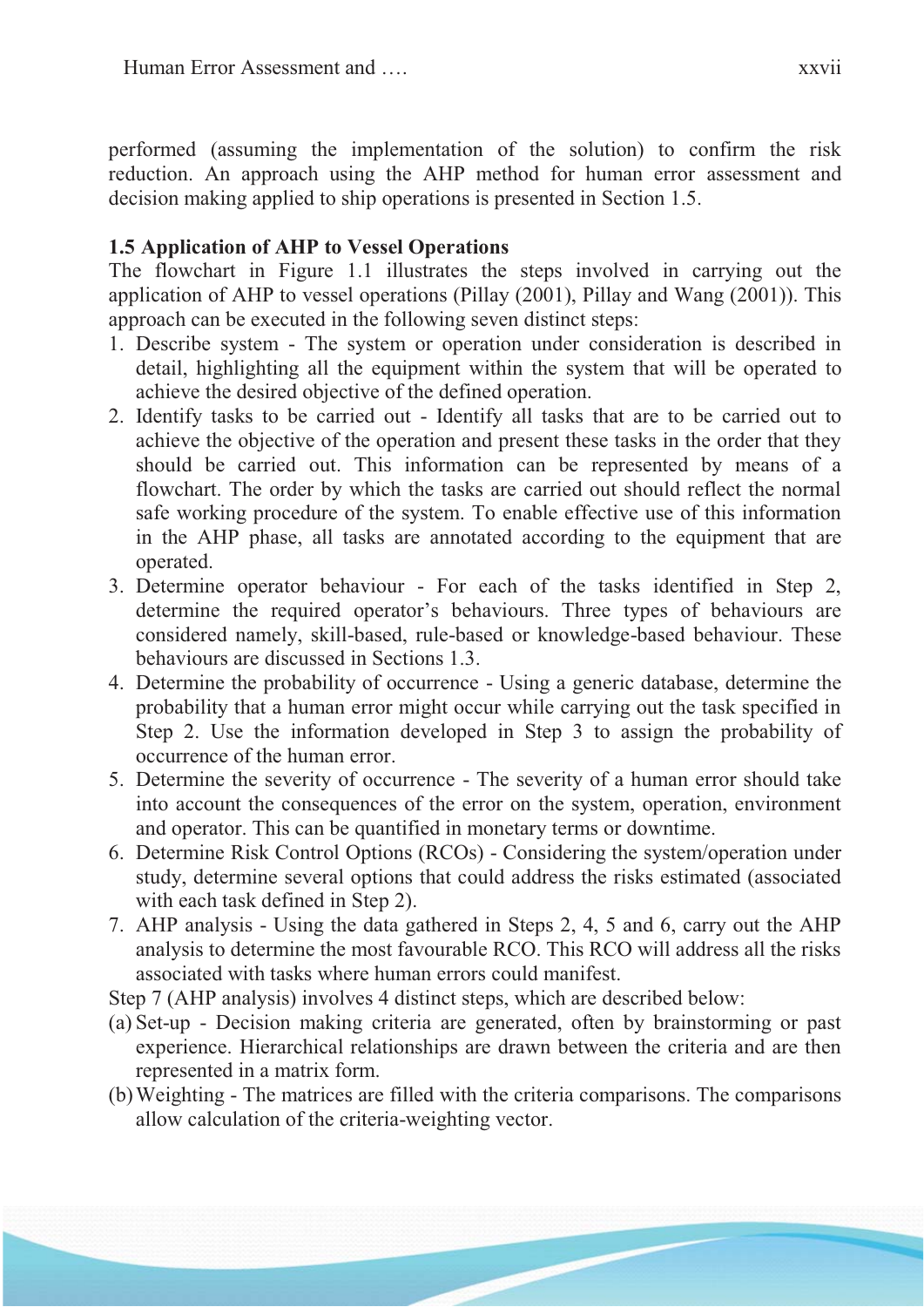performed (assuming the implementation of the solution) to confirm the risk reduction. An approach using the AHP method for human error assessment and decision making applied to ship operations is presented in Section 1.5.

### **1.5 Application of AHP to Vessel Operations**

The flowchart in Figure 1.1 illustrates the steps involved in carrying out the application of AHP to vessel operations (Pillay (2001), Pillay and Wang (2001)). This approach can be executed in the following seven distinct steps:

- 1. Describe system The system or operation under consideration is described in detail, highlighting all the equipment within the system that will be operated to achieve the desired objective of the defined operation.
- 2. Identify tasks to be carried out Identify all tasks that are to be carried out to achieve the objective of the operation and present these tasks in the order that they should be carried out. This information can be represented by means of a flowchart. The order by which the tasks are carried out should reflect the normal safe working procedure of the system. To enable effective use of this information in the AHP phase, all tasks are annotated according to the equipment that are operated.
- 3. Determine operator behaviour For each of the tasks identified in Step 2, determine the required operator's behaviours. Three types of behaviours are considered namely, skill-based, rule-based or knowledge-based behaviour. These behaviours are discussed in Sections 1.3.
- 4. Determine the probability of occurrence Using a generic database, determine the probability that a human error might occur while carrying out the task specified in Step 2. Use the information developed in Step 3 to assign the probability of occurrence of the human error.
- 5. Determine the severity of occurrence The severity of a human error should take into account the consequences of the error on the system, operation, environment and operator. This can be quantified in monetary terms or downtime.
- 6. Determine Risk Control Options (RCOs) Considering the system/operation under study, determine several options that could address the risks estimated (associated with each task defined in Step 2).
- 7. AHP analysis Using the data gathered in Steps 2, 4, 5 and 6, carry out the AHP analysis to determine the most favourable RCO. This RCO will address all the risks associated with tasks where human errors could manifest.
- Step 7 (AHP analysis) involves 4 distinct steps, which are described below:
- (a) Set-up Decision making criteria are generated, often by brainstorming or past experience. Hierarchical relationships are drawn between the criteria and are then represented in a matrix form.
- (b)Weighting The matrices are filled with the criteria comparisons. The comparisons allow calculation of the criteria-weighting vector.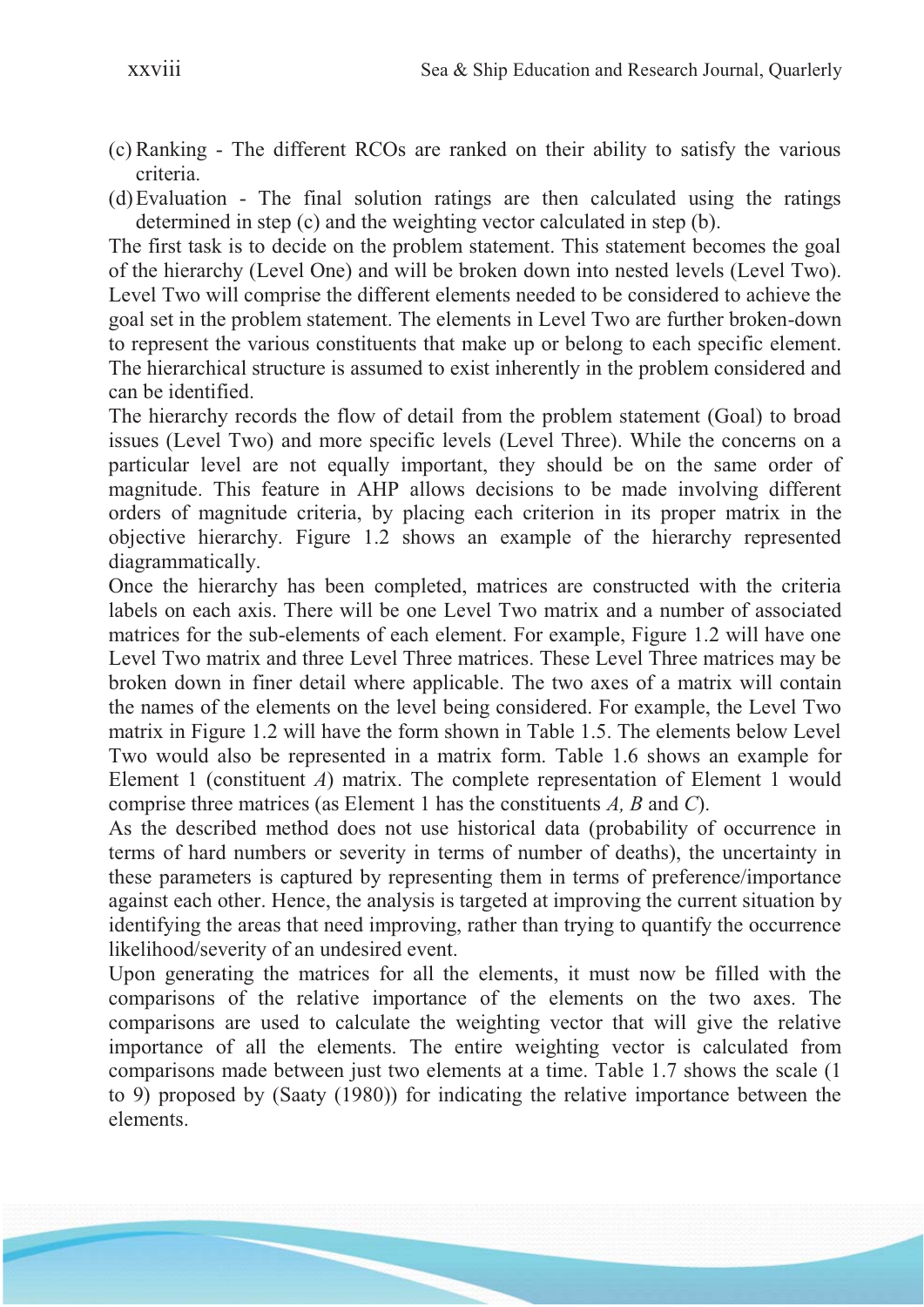- (c) Ranking The different RCOs are ranked on their ability to satisfy the various criteria.
- (d)Evaluation The final solution ratings are then calculated using the ratings determined in step (c) and the weighting vector calculated in step (b).

The first task is to decide on the problem statement. This statement becomes the goal of the hierarchy (Level One) and will be broken down into nested levels (Level Two). Level Two will comprise the different elements needed to be considered to achieve the goal set in the problem statement. The elements in Level Two are further broken-down to represent the various constituents that make up or belong to each specific element. The hierarchical structure is assumed to exist inherently in the problem considered and can be identified.

The hierarchy records the flow of detail from the problem statement (Goal) to broad issues (Level Two) and more specific levels (Level Three). While the concerns on a particular level are not equally important, they should be on the same order of magnitude. This feature in AHP allows decisions to be made involving different orders of magnitude criteria, by placing each criterion in its proper matrix in the objective hierarchy. Figure 1.2 shows an example of the hierarchy represented diagrammatically.

Once the hierarchy has been completed, matrices are constructed with the criteria labels on each axis. There will be one Level Two matrix and a number of associated matrices for the sub-elements of each element. For example, Figure 1.2 will have one Level Two matrix and three Level Three matrices. These Level Three matrices may be broken down in finer detail where applicable. The two axes of a matrix will contain the names of the elements on the level being considered. For example, the Level Two matrix in Figure 1.2 will have the form shown in Table 1.5. The elements below Level Two would also be represented in a matrix form. Table 1.6 shows an example for Element 1 (constituent *A*) matrix. The complete representation of Element 1 would comprise three matrices (as Element 1 has the constituents *A, B* and *C*).

As the described method does not use historical data (probability of occurrence in terms of hard numbers or severity in terms of number of deaths), the uncertainty in these parameters is captured by representing them in terms of preference/importance against each other. Hence, the analysis is targeted at improving the current situation by identifying the areas that need improving, rather than trying to quantify the occurrence likelihood/severity of an undesired event.

Upon generating the matrices for all the elements, it must now be filled with the comparisons of the relative importance of the elements on the two axes. The comparisons are used to calculate the weighting vector that will give the relative importance of all the elements. The entire weighting vector is calculated from comparisons made between just two elements at a time. Table 1.7 shows the scale (1 to 9) proposed by (Saaty (1980)) for indicating the relative importance between the elements.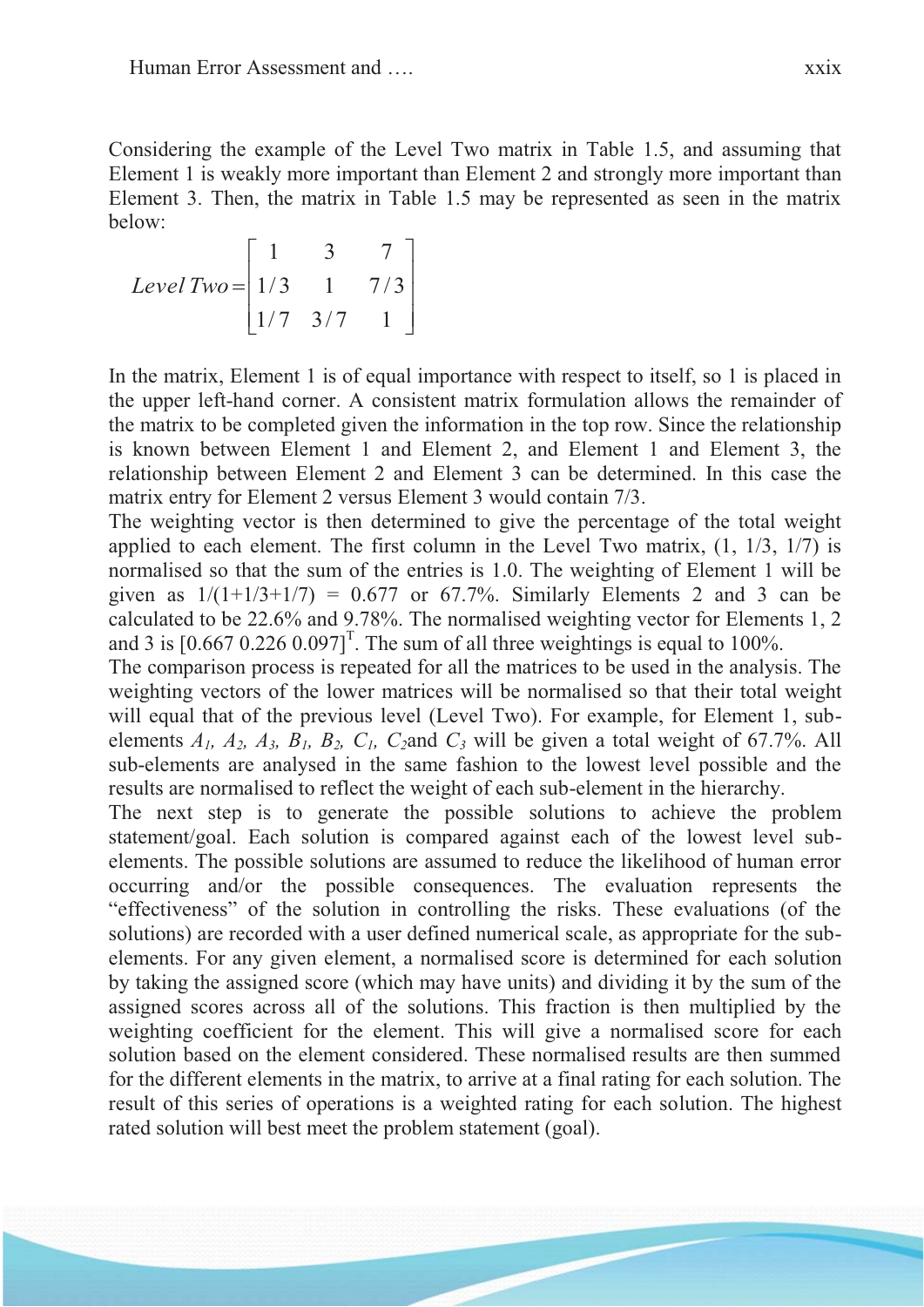Considering the example of the Level Two matrix in Table 1.5, and assuming that Element 1 is weakly more important than Element 2 and strongly more important than Element 3. Then, the matrix in Table 1.5 may be represented as seen in the matrix below:

$$
Level \, Two = \begin{bmatrix} 1 & 3 & 7 \\ 1/3 & 1 & 7/3 \\ 1/7 & 3/7 & 1 \end{bmatrix}
$$

In the matrix, Element 1 is of equal importance with respect to itself, so 1 is placed in the upper left-hand corner. A consistent matrix formulation allows the remainder of the matrix to be completed given the information in the top row. Since the relationship is known between Element 1 and Element 2, and Element 1 and Element 3, the relationship between Element 2 and Element 3 can be determined. In this case the matrix entry for Element 2 versus Element 3 would contain 7/3.

The weighting vector is then determined to give the percentage of the total weight applied to each element. The first column in the Level Two matrix, (1, 1/3, 1/7) is normalised so that the sum of the entries is 1.0. The weighting of Element 1 will be given as  $1/(1+1/3+1/7) = 0.677$  or 67.7%. Similarly Elements 2 and 3 can be calculated to be 22.6% and 9.78%. The normalised weighting vector for Elements 1, 2 and 3 is  $[0.667 \, 0.226 \, 0.097]$ <sup>T</sup>. The sum of all three weightings is equal to 100%.

The comparison process is repeated for all the matrices to be used in the analysis. The weighting vectors of the lower matrices will be normalised so that their total weight will equal that of the previous level (Level Two). For example, for Element 1, subelements  $A_1$ ,  $A_2$ ,  $A_3$ ,  $B_1$ ,  $B_2$ ,  $C_1$ ,  $C_2$  and  $C_3$  will be given a total weight of 67.7%. All sub-elements are analysed in the same fashion to the lowest level possible and the results are normalised to reflect the weight of each sub-element in the hierarchy.

The next step is to generate the possible solutions to achieve the problem statement/goal. Each solution is compared against each of the lowest level subelements. The possible solutions are assumed to reduce the likelihood of human error occurring and/or the possible consequences. The evaluation represents the "effectiveness" of the solution in controlling the risks. These evaluations (of the solutions) are recorded with a user defined numerical scale, as appropriate for the subelements. For any given element, a normalised score is determined for each solution by taking the assigned score (which may have units) and dividing it by the sum of the assigned scores across all of the solutions. This fraction is then multiplied by the weighting coefficient for the element. This will give a normalised score for each solution based on the element considered. These normalised results are then summed for the different elements in the matrix, to arrive at a final rating for each solution. The result of this series of operations is a weighted rating for each solution. The highest rated solution will best meet the problem statement (goal).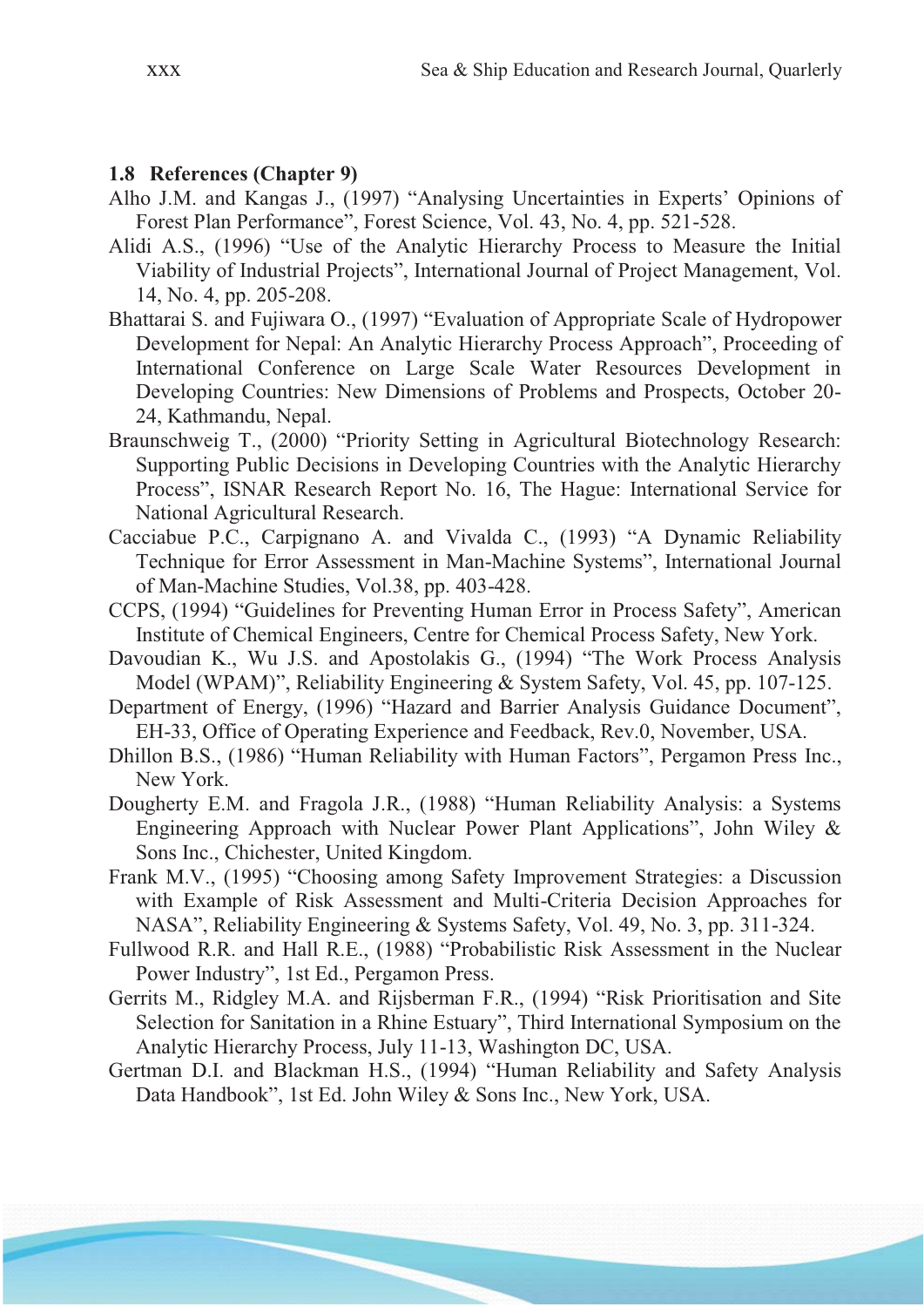#### **1.8 References (Chapter 9)**

- Alho J.M. and Kangas J., (1997) "Analysing Uncertainties in Experts' Opinions of Forest Plan Performance", Forest Science, Vol. 43, No. 4, pp. 521-528.
- Alidi A.S., (1996) "Use of the Analytic Hierarchy Process to Measure the Initial Viability of Industrial Projects", International Journal of Project Management, Vol. 14, No. 4, pp. 205-208.
- Bhattarai S. and Fujiwara O., (1997) "Evaluation of Appropriate Scale of Hydropower Development for Nepal: An Analytic Hierarchy Process Approach", Proceeding of International Conference on Large Scale Water Resources Development in Developing Countries: New Dimensions of Problems and Prospects, October 20- 24, Kathmandu, Nepal.
- Braunschweig T., (2000) "Priority Setting in Agricultural Biotechnology Research: Supporting Public Decisions in Developing Countries with the Analytic Hierarchy Process", ISNAR Research Report No. 16, The Hague: International Service for National Agricultural Research.
- Cacciabue P.C., Carpignano A. and Vivalda C., (1993) "A Dynamic Reliability Technique for Error Assessment in Man-Machine Systems", International Journal of Man-Machine Studies, Vol.38, pp. 403-428.
- CCPS, (1994) "Guidelines for Preventing Human Error in Process Safety", American Institute of Chemical Engineers, Centre for Chemical Process Safety, New York.
- Davoudian K., Wu J.S. and Apostolakis G., (1994) "The Work Process Analysis Model (WPAM)", Reliability Engineering & System Safety, Vol. 45, pp. 107-125.
- Department of Energy, (1996) "Hazard and Barrier Analysis Guidance Document", EH-33, Office of Operating Experience and Feedback, Rev.0, November, USA.
- Dhillon B.S., (1986) "Human Reliability with Human Factors", Pergamon Press Inc., New York.
- Dougherty E.M. and Fragola J.R., (1988) "Human Reliability Analysis: a Systems Engineering Approach with Nuclear Power Plant Applications", John Wiley & Sons Inc., Chichester, United Kingdom.
- Frank M.V., (1995) "Choosing among Safety Improvement Strategies: a Discussion with Example of Risk Assessment and Multi-Criteria Decision Approaches for NASA", Reliability Engineering & Systems Safety, Vol. 49, No. 3, pp. 311-324.
- Fullwood R.R. and Hall R.E., (1988) "Probabilistic Risk Assessment in the Nuclear Power Industry", 1st Ed., Pergamon Press.
- Gerrits M., Ridgley M.A. and Rijsberman F.R., (1994) "Risk Prioritisation and Site Selection for Sanitation in a Rhine Estuary", Third International Symposium on the Analytic Hierarchy Process, July 11-13, Washington DC, USA.
- Gertman D.I. and Blackman H.S., (1994) "Human Reliability and Safety Analysis Data Handbook", 1st Ed. John Wiley & Sons Inc., New York, USA.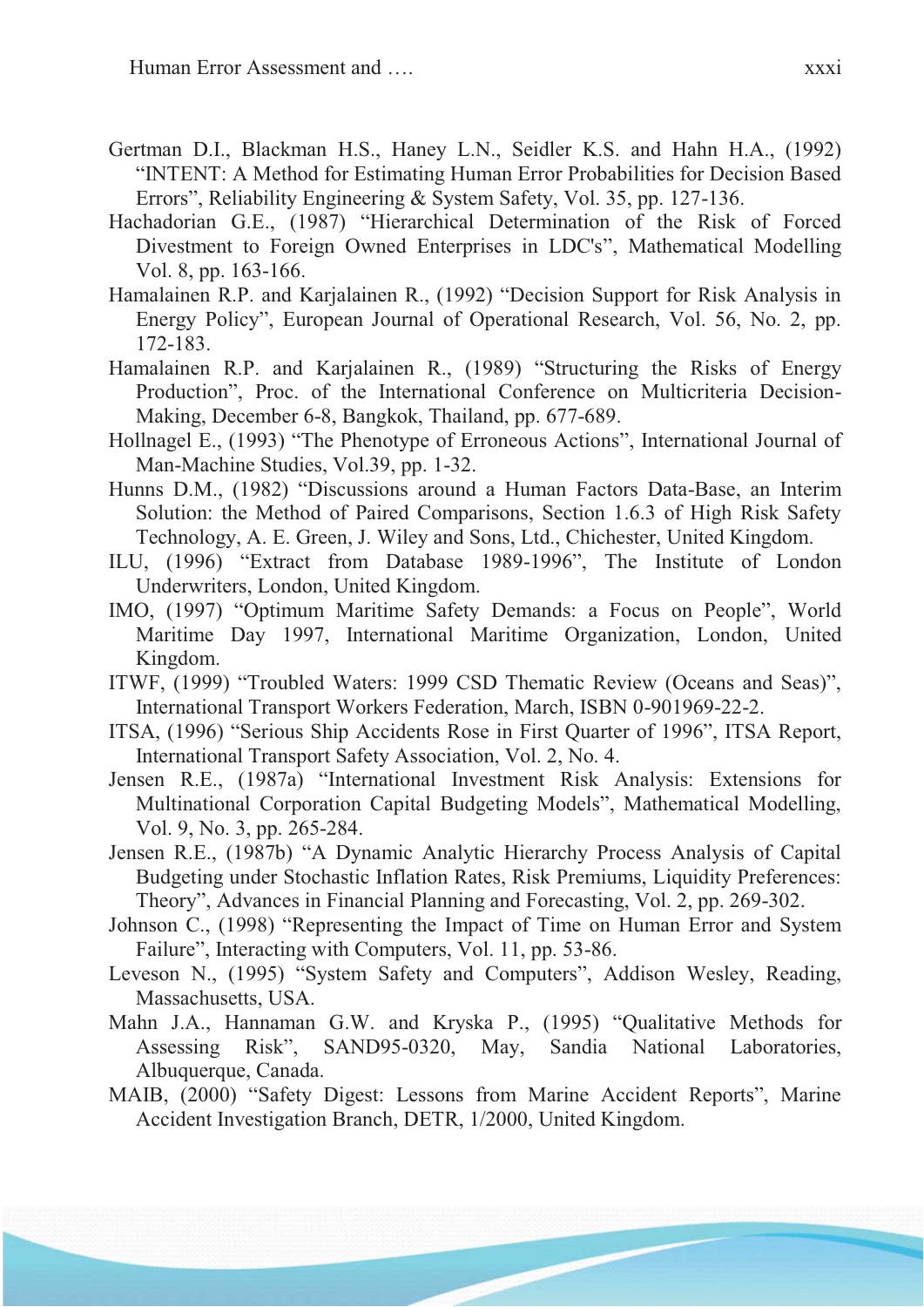- Gertman D.I., Blackman H.S., Haney L.N., Seidler K.S. and Hahn H.A., (1992) "INTENT: A Method for Estimating Human Error Probabilities for Decision Based Errors", Reliability Engineering & System Safety, Vol. 35, pp. 127-136.
- Hachadorian G.E., (1987) "Hierarchical Determination of the Risk of Forced Divestment to Foreign Owned Enterprises in LDC's", Mathematical Modelling Vol. 8, pp. 163-166.
- Hamalainen R.P. and Karjalainen R., (1992) "Decision Support for Risk Analysis in Energy Policy", European Journal of Operational Research, Vol. 56, No. 2, pp. 172-183.
- Hamalainen R.P. and Karjalainen R., (1989) "Structuring the Risks of Energy Production", Proc. of the International Conference on Multicriteria Decision-Making, December 6-8, Bangkok, Thailand, pp. 677-689.
- Hollnagel E., (1993) "The Phenotype of Erroneous Actions", International Journal of Man-Machine Studies, Vol.39, pp. 1-32.
- Hunns D.M., (1982) "Discussions around a Human Factors Data-Base, an Interim Solution: the Method of Paired Comparisons, Section 1.6.3 of High Risk Safety Technology, A. E. Green, J. Wiley and Sons, Ltd., Chichester, United Kingdom.
- ILU, (1996) "Extract from Database 1989-1996", The Institute of London Underwriters, London, United Kingdom.
- IMO, (1997) "Optimum Maritime Safety Demands: a Focus on People", World Maritime Day 1997, International Maritime Organization, London, United Kingdom.
- ITWF, (1999) "Troubled Waters: 1999 CSD Thematic Review (Oceans and Seas)", International Transport Workers Federation, March, ISBN 0-901969-22-2.
- ITSA, (1996) "Serious Ship Accidents Rose in First Quarter of 1996", ITSA Report, International Transport Safety Association, Vol. 2, No. 4.
- Jensen R.E., (1987a) "International Investment Risk Analysis: Extensions for Multinational Corporation Capital Budgeting Models", Mathematical Modelling, Vol. 9, No. 3, pp. 265-284.
- Jensen R.E., (1987b) "A Dynamic Analytic Hierarchy Process Analysis of Capital Budgeting under Stochastic Inflation Rates, Risk Premiums, Liquidity Preferences: Theory", Advances in Financial Planning and Forecasting, Vol. 2, pp. 269-302.
- Johnson C., (1998) "Representing the Impact of Time on Human Error and System Failure", Interacting with Computers, Vol. 11, pp. 53-86.
- Leveson N., (1995) "System Safety and Computers", Addison Wesley, Reading, Massachusetts, USA.
- Mahn J.A., Hannaman G.W. and Kryska P., (1995) "Qualitative Methods for Assessing Risk", SAND95-0320, May, Sandia National Laboratories, Albuquerque, Canada.
- MAIB, (2000) "Safety Digest: Lessons from Marine Accident Reports", Marine Accident Investigation Branch, DETR, 1/2000, United Kingdom.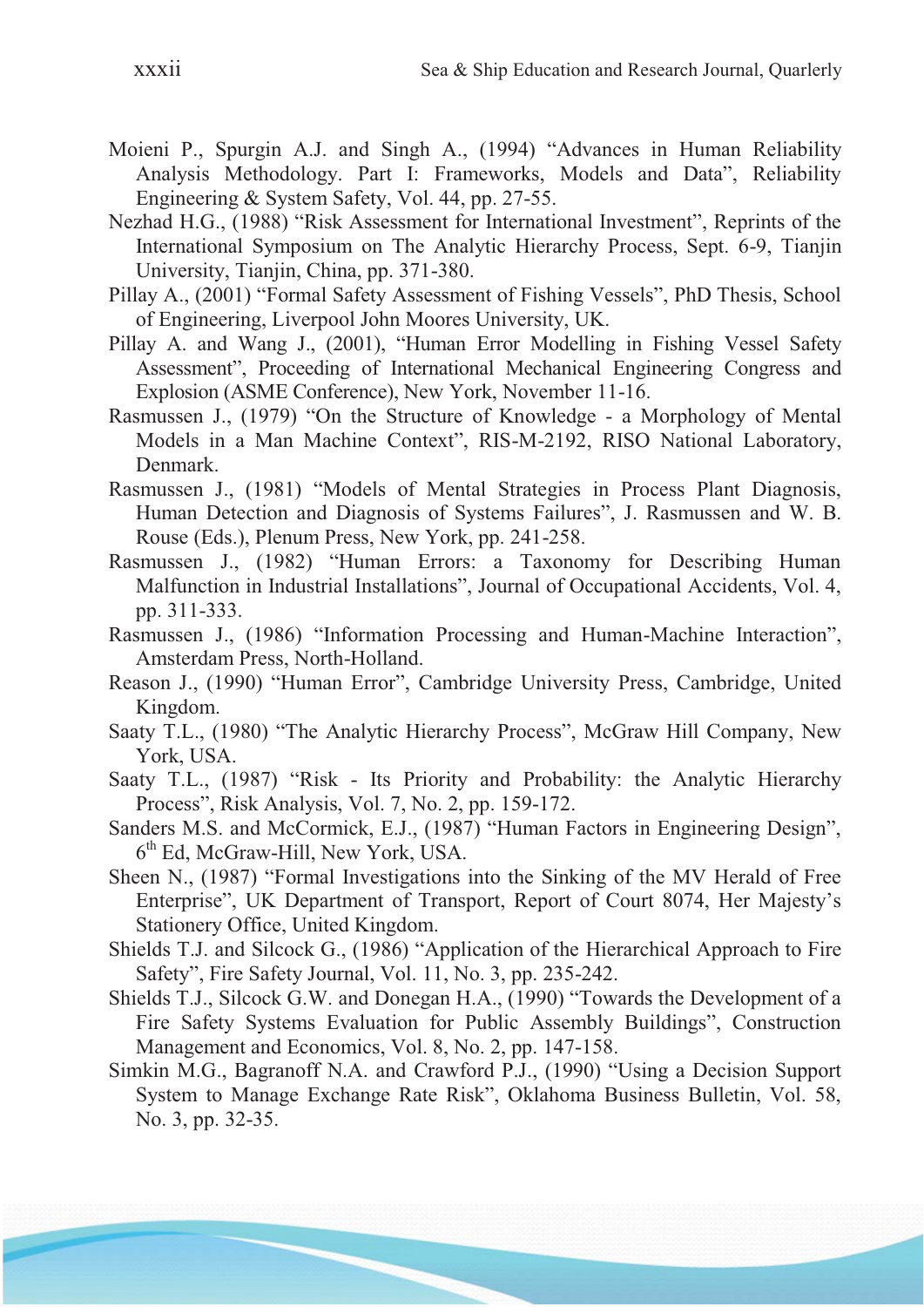- Moieni P., Spurgin A.J. and Singh A., (1994) "Advances in Human Reliability Analysis Methodology. Part I: Frameworks, Models and Data", Reliability Engineering & System Safety, Vol. 44, pp. 27-55.
- Nezhad H.G., (1988) "Risk Assessment for International Investment", Reprints of the International Symposium on The Analytic Hierarchy Process, Sept. 6-9, Tianjin University, Tianjin, China, pp. 371-380.
- Pillay A., (2001) "Formal Safety Assessment of Fishing Vessels", PhD Thesis, School of Engineering, Liverpool John Moores University, UK.
- Pillay A. and Wang J., (2001), "Human Error Modelling in Fishing Vessel Safety Assessment", Proceeding of International Mechanical Engineering Congress and Explosion (ASME Conference), New York, November 11-16.
- Rasmussen J., (1979) "On the Structure of Knowledge a Morphology of Mental Models in a Man Machine Context", RIS-M-2192, RISO National Laboratory, Denmark.
- Rasmussen J., (1981) "Models of Mental Strategies in Process Plant Diagnosis, Human Detection and Diagnosis of Systems Failures", J. Rasmussen and W. B. Rouse (Eds.), Plenum Press, New York, pp. 241-258.
- Rasmussen J., (1982) "Human Errors: a Taxonomy for Describing Human Malfunction in Industrial Installations", Journal of Occupational Accidents, Vol. 4, pp. 311-333.
- Rasmussen J., (1986) "Information Processing and Human-Machine Interaction", Amsterdam Press, North-Holland.
- Reason J., (1990) "Human Error", Cambridge University Press, Cambridge, United Kingdom.
- Saaty T.L., (1980) "The Analytic Hierarchy Process", McGraw Hill Company, New York, USA.
- Saaty T.L., (1987) "Risk Its Priority and Probability: the Analytic Hierarchy Process", Risk Analysis, Vol. 7, No. 2, pp. 159-172.
- Sanders M.S. and McCormick, E.J., (1987) "Human Factors in Engineering Design", 6th Ed, McGraw-Hill, New York, USA.
- Sheen N., (1987) "Formal Investigations into the Sinking of the MV Herald of Free Enterprise", UK Department of Transport, Report of Court 8074, Her Majesty's Stationery Office, United Kingdom.
- Shields T.J. and Silcock G., (1986) "Application of the Hierarchical Approach to Fire Safety", Fire Safety Journal, Vol. 11, No. 3, pp. 235-242.
- Shields T.J., Silcock G.W. and Donegan H.A., (1990) "Towards the Development of a Fire Safety Systems Evaluation for Public Assembly Buildings", Construction Management and Economics, Vol. 8, No. 2, pp. 147-158.
- Simkin M.G., Bagranoff N.A. and Crawford P.J., (1990) "Using a Decision Support System to Manage Exchange Rate Risk", Oklahoma Business Bulletin, Vol. 58, No. 3, pp. 32-35.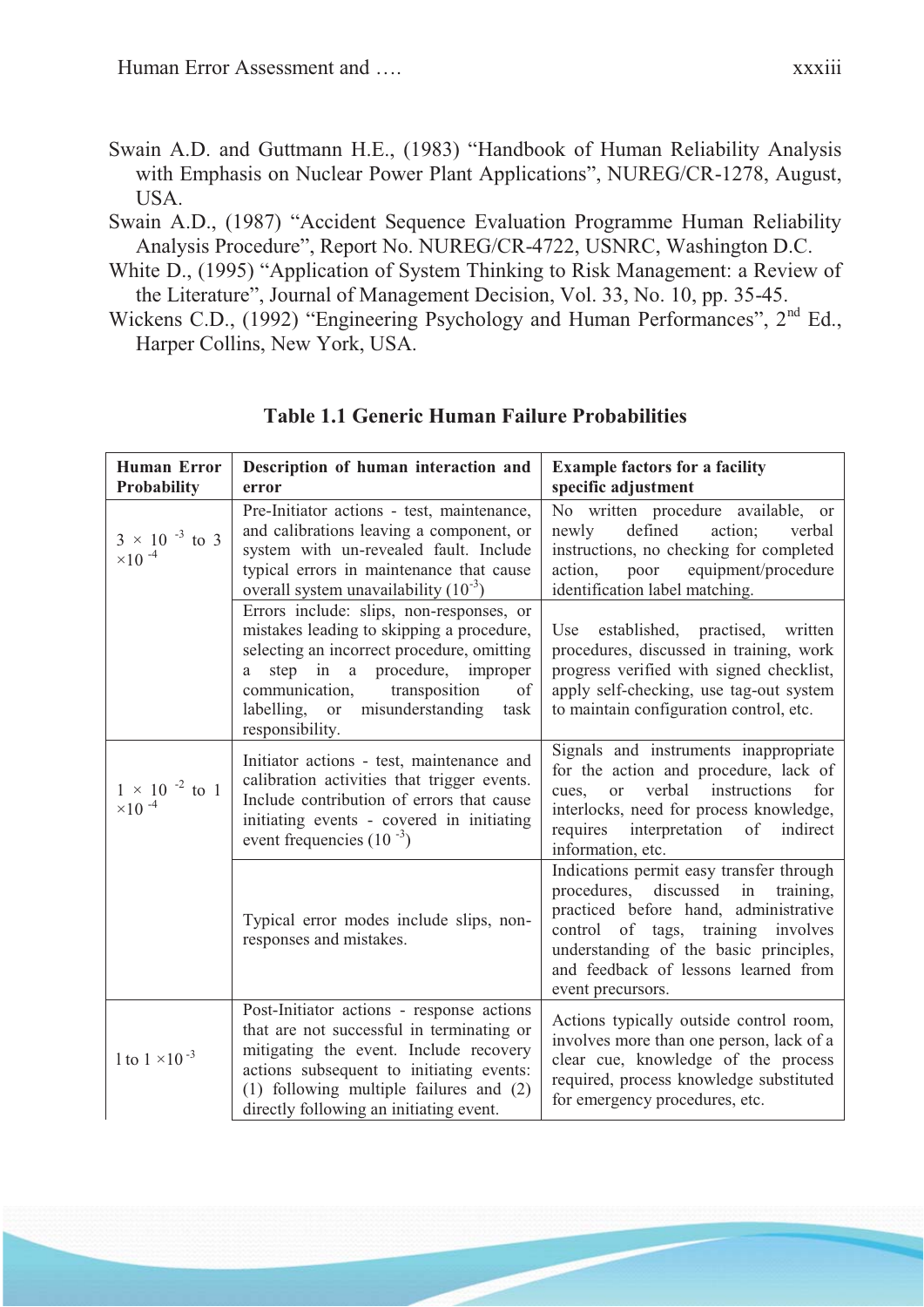- Swain A.D. and Guttmann H.E., (1983) "Handbook of Human Reliability Analysis with Emphasis on Nuclear Power Plant Applications", NUREG/CR-1278, August, USA.
- Swain A.D., (1987) "Accident Sequence Evaluation Programme Human Reliability Analysis Procedure", Report No. NUREG/CR-4722, USNRC, Washington D.C.
- White D., (1995) "Application of System Thinking to Risk Management: a Review of the Literature", Journal of Management Decision, Vol. 33, No. 10, pp. 35-45.
- Wickens C.D., (1992) "Engineering Psychology and Human Performances", 2<sup>nd</sup> Ed., Harper Collins, New York, USA.

| <b>Human Error</b><br><b>Probability</b>             | Description of human interaction and<br>error                                                                                                                                                                                                                                         | <b>Example factors for a facility</b><br>specific adjustment                                                                                                                                                                                                                  |  |  |
|------------------------------------------------------|---------------------------------------------------------------------------------------------------------------------------------------------------------------------------------------------------------------------------------------------------------------------------------------|-------------------------------------------------------------------------------------------------------------------------------------------------------------------------------------------------------------------------------------------------------------------------------|--|--|
| $3 \times 10^{-3}$ to 3<br>$\times$ 10 <sup>-4</sup> | Pre-Initiator actions - test, maintenance,<br>and calibrations leaving a component, or<br>system with un-revealed fault. Include<br>typical errors in maintenance that cause<br>overall system unavailability $(10^{-3})$                                                             | No written procedure available, or<br>defined<br>newly<br>action;<br>verbal<br>instructions, no checking for completed<br>action,<br>equipment/procedure<br>poor<br>identification label matching.                                                                            |  |  |
|                                                      | Errors include: slips, non-responses, or<br>mistakes leading to skipping a procedure,<br>selecting an incorrect procedure, omitting<br>step in a procedure, improper<br>a<br>communication,<br>of<br>transposition<br>labelling,<br>or<br>misunderstanding<br>task<br>responsibility. | established, practised, written<br>Use<br>procedures, discussed in training, work<br>progress verified with signed checklist,<br>apply self-checking, use tag-out system<br>to maintain configuration control, etc.                                                           |  |  |
| $1 \times 10^{-2}$ to 1<br>$\times 10$ $^{-4}$       | Initiator actions - test, maintenance and<br>calibration activities that trigger events.<br>Include contribution of errors that cause<br>initiating events - covered in initiating<br>event frequencies $(10^{-3})$                                                                   | Signals and instruments inappropriate<br>for the action and procedure, lack of<br>verbal<br>instructions<br><b>or</b><br>for<br>cues,<br>interlocks, need for process knowledge,<br>requires<br>interpretation<br>of<br>indirect<br>information, etc.                         |  |  |
|                                                      | Typical error modes include slips, non-<br>responses and mistakes.                                                                                                                                                                                                                    | Indications permit easy transfer through<br>procedures,<br>discussed<br>in<br>training,<br>practiced before hand, administrative<br>control of tags, training involves<br>understanding of the basic principles,<br>and feedback of lessons learned from<br>event precursors. |  |  |
| 1 to $1 \times 10^{-3}$                              | Post-Initiator actions - response actions<br>that are not successful in terminating or<br>mitigating the event. Include recovery<br>actions subsequent to initiating events:<br>$(1)$ following multiple failures and $(2)$<br>directly following an initiating event.                | Actions typically outside control room,<br>involves more than one person, lack of a<br>clear cue, knowledge of the process<br>required, process knowledge substituted<br>for emergency procedures, etc.                                                                       |  |  |

### **Table 1.1 Generic Human Failure Probabilities**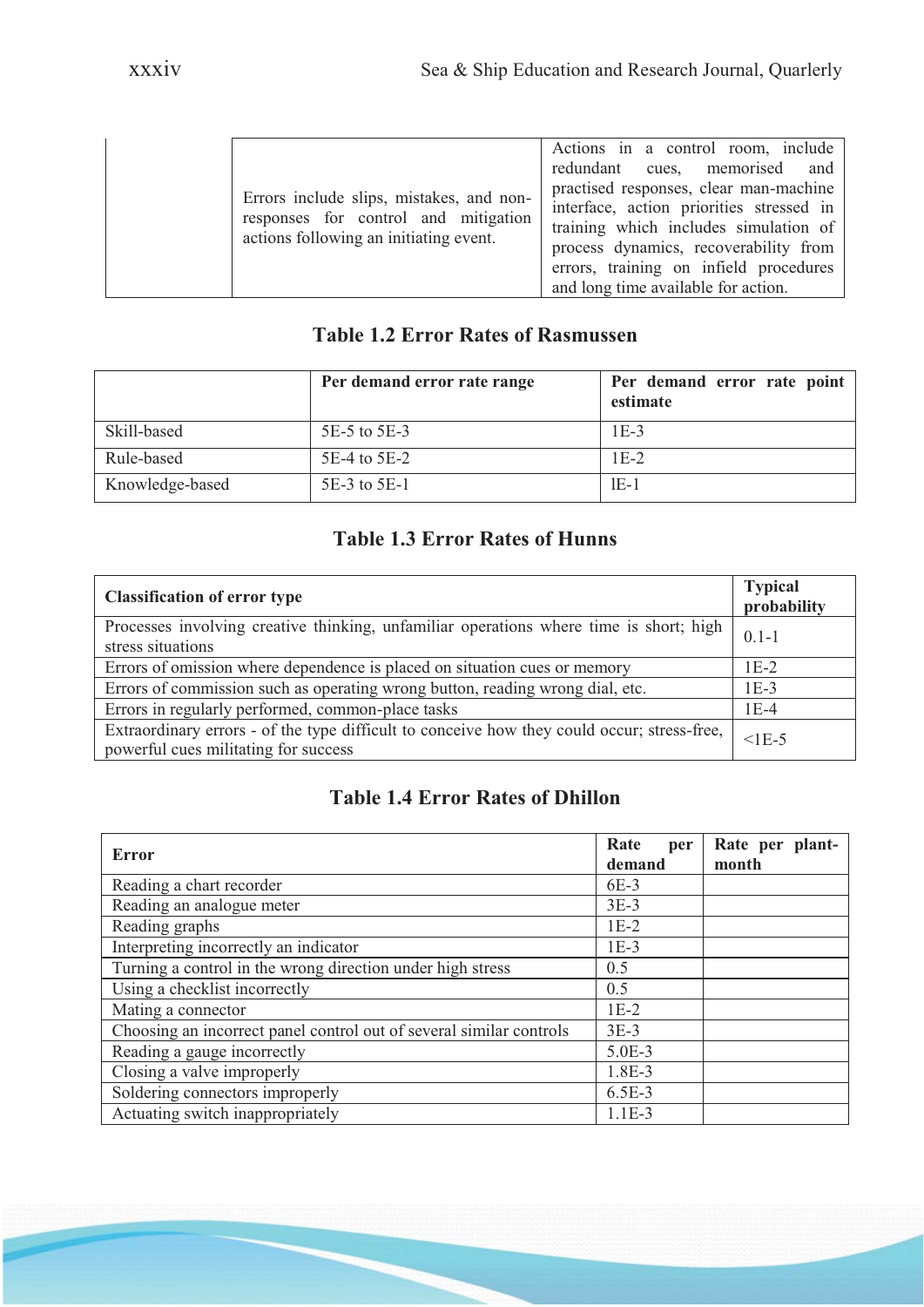| Errors include slips, mistakes, and non-<br>responses for control and mitigation<br>actions following an initiating event. | Actions in a control room, include<br>redundant cues, memorised and<br>practised responses, clear man-machine<br>interface, action priorities stressed in<br>training which includes simulation of<br>process dynamics, recoverability from<br>errors, training on infield procedures<br>and long time available for action. |
|----------------------------------------------------------------------------------------------------------------------------|------------------------------------------------------------------------------------------------------------------------------------------------------------------------------------------------------------------------------------------------------------------------------------------------------------------------------|
|----------------------------------------------------------------------------------------------------------------------------|------------------------------------------------------------------------------------------------------------------------------------------------------------------------------------------------------------------------------------------------------------------------------------------------------------------------------|

### **Table 1.2 Error Rates of Rasmussen**

|                 | Per demand error rate range | Per demand error rate point<br>estimate |
|-----------------|-----------------------------|-----------------------------------------|
| Skill-based     | 5E-5 to 5E-3                | $1E-3$                                  |
| Rule-based      | $5E-4$ to $5E-2$            | $1E-2$                                  |
| Knowledge-based | 5E-3 to 5E-1                | $1E-1$                                  |

## **Table 1.3 Error Rates of Hunns**

| <b>Classification of error type</b>                                                                                                 | <b>Typical</b><br>probability |
|-------------------------------------------------------------------------------------------------------------------------------------|-------------------------------|
| Processes involving creative thinking, unfamiliar operations where time is short; high<br>stress situations                         | $0.1 - 1$                     |
| Errors of omission where dependence is placed on situation cues or memory                                                           | $1E-2$                        |
| Errors of commission such as operating wrong button, reading wrong dial, etc.                                                       | $1E-3$                        |
| Errors in regularly performed, common-place tasks                                                                                   | $1E-4$                        |
| Extraordinary errors - of the type difficult to conceive how they could occur; stress-free,<br>powerful cues militating for success | $<$ 1E-5                      |

# **Table 1.4 Error Rates of Dhillon**

| Error                                                               | Rate<br>per<br>demand | Rate per plant-<br>month |
|---------------------------------------------------------------------|-----------------------|--------------------------|
| Reading a chart recorder                                            | 6E-3                  |                          |
| Reading an analogue meter                                           | $3E-3$                |                          |
| Reading graphs                                                      | $1E-2$                |                          |
| Interpreting incorrectly an indicator                               | $1E-3$                |                          |
| Turning a control in the wrong direction under high stress          | 0.5                   |                          |
| Using a checklist incorrectly                                       | 0.5                   |                          |
| Mating a connector                                                  | $1E-2$                |                          |
| Choosing an incorrect panel control out of several similar controls | $3E-3$                |                          |
| Reading a gauge incorrectly                                         | $5.0E-3$              |                          |
| Closing a valve improperly                                          | 1.8E-3                |                          |
| Soldering connectors improperly                                     | $6.5E-3$              |                          |
| Actuating switch inappropriately                                    | $1.1E-3$              |                          |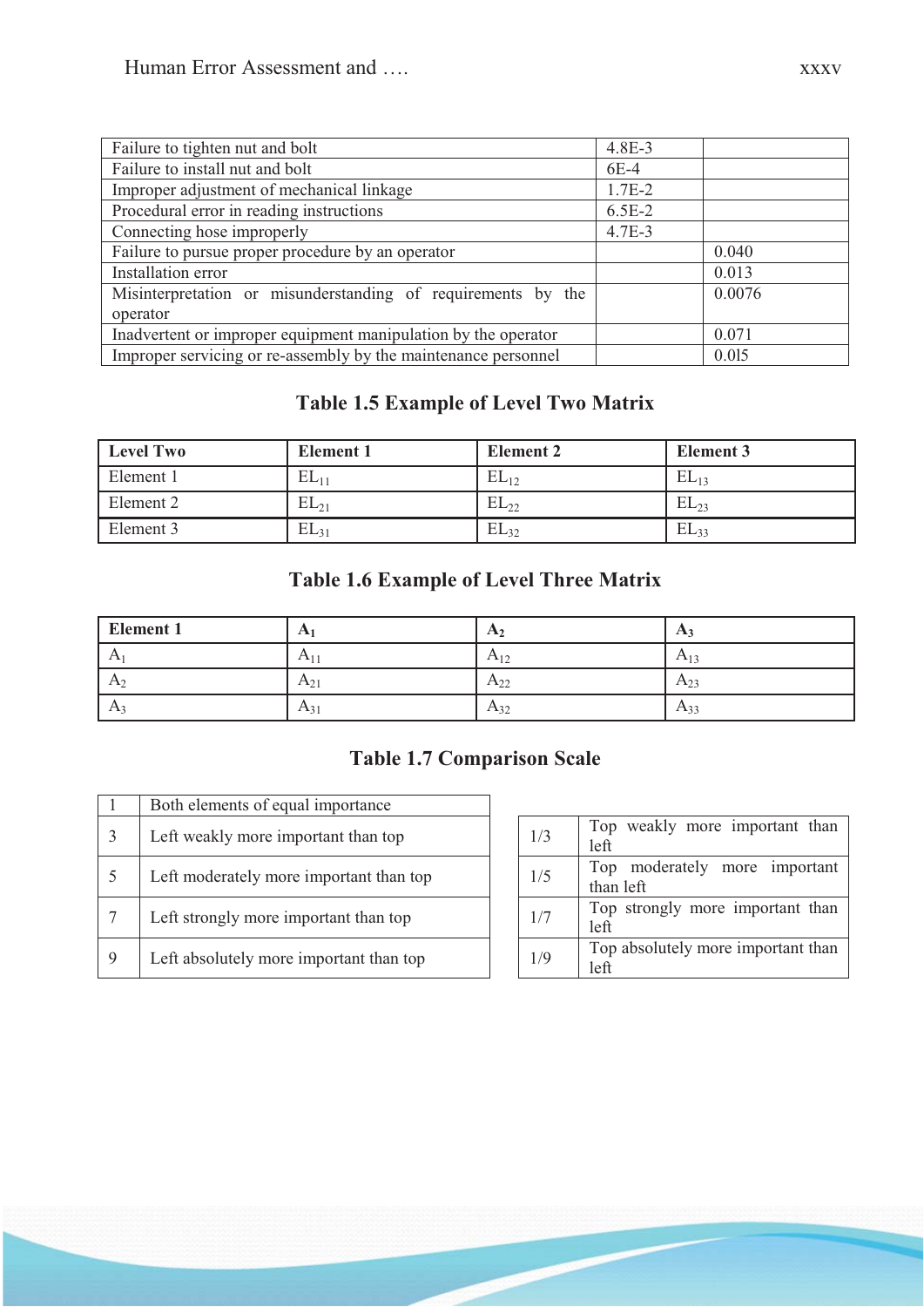| Failure to tighten nut and bolt                                | $4.8E - 3$ |        |
|----------------------------------------------------------------|------------|--------|
| Failure to install nut and bolt                                | $6E-4$     |        |
| Improper adjustment of mechanical linkage                      | $1.7E-2$   |        |
| Procedural error in reading instructions                       | $6.5E-2$   |        |
| Connecting hose improperly                                     | $4.7E-3$   |        |
| Failure to pursue proper procedure by an operator              |            | 0.040  |
| Installation error                                             |            | 0.013  |
| Misinterpretation or misunderstanding of requirements by the   |            | 0.0076 |
| operator                                                       |            |        |
| Inadvertent or improper equipment manipulation by the operator |            | 0.071  |
| Improper servicing or re-assembly by the maintenance personnel |            | 0.015  |

# **Table 1.5 Example of Level Two Matrix**

| <b>Level Two</b> | <b>Element 1</b> | <b>Element 2</b> | <b>Element 3</b> |
|------------------|------------------|------------------|------------------|
| Element 1        | $EL_{11}$        | $EL_{12}$        | $EL_{13}$        |
| Element 2        | $EL_{21}$        | $EL_{22}$        | $EL_{23}$        |
| Element 3        | $EL_{31}$        | $EL_{32}$        | $EL_{33}$        |

# **Table 1.6 Example of Level Three Matrix**

| <b>Element 1</b> | A        | $\Gamma$ $\Lambda$ ?       | $A_3$    |
|------------------|----------|----------------------------|----------|
| $\mathbf{A}$     | $A_{11}$ | $A_{12}$<br>$\overline{1}$ | $A_{13}$ |
| A <sub>2</sub>   | $A_{21}$ | $A_{22}$                   | $A_{23}$ |
| $A_3$            | $A_{31}$ | $A_{32}$                   | $A_{33}$ |

# **Table 1.7 Comparison Scale**

|   | Both elements of equal importance       |     |                                               |
|---|-----------------------------------------|-----|-----------------------------------------------|
|   | Left weakly more important than top     | 1/3 | Top weakly more important than<br>left        |
|   | Left moderately more important than top | 1/5 | Top moderately<br>more important<br>than left |
|   | Left strongly more important than top   | 1/7 | Top strongly more important than<br>left      |
| 9 | Left absolutely more important than top | 1/9 | Top absolutely more important than<br>left    |

| 1/3 | Top weakly more important than     |
|-----|------------------------------------|
|     | left                               |
| 1/5 | Top moderately more important      |
|     | than left                          |
| 1/7 | Top strongly more important than   |
|     | left                               |
| 1/9 | Top absolutely more important than |
|     | 1eft                               |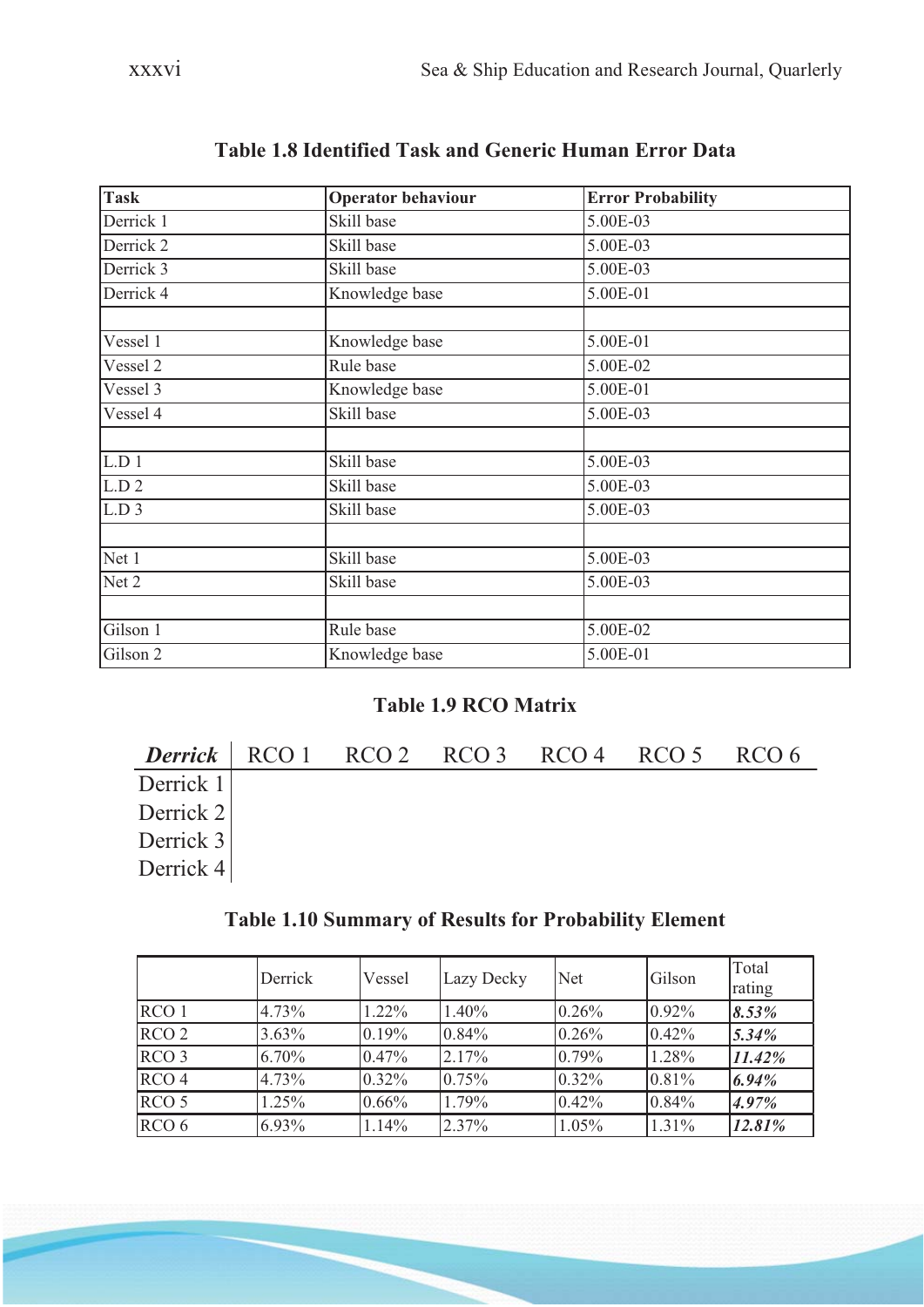| <b>Task</b>                | <b>Operator behaviour</b> | <b>Error Probability</b> |  |  |
|----------------------------|---------------------------|--------------------------|--|--|
| Derrick 1                  | Skill base                | 5.00E-03                 |  |  |
| Derrick 2                  | Skill base                | 5.00E-03                 |  |  |
| Derrick 3                  | Skill base                | 5.00E-03                 |  |  |
| Derrick 4                  | Knowledge base            | 5.00E-01                 |  |  |
|                            |                           |                          |  |  |
| Vessel 1                   | Knowledge base            | 5.00E-01                 |  |  |
| Vessel 2                   | Rule base                 | 5.00E-02                 |  |  |
| Vessel 3                   | Knowledge base            | 5.00E-01                 |  |  |
| Vessel 4                   | Skill base                | 5.00E-03                 |  |  |
|                            |                           |                          |  |  |
| L.D 1<br>Skill base        |                           | 5.00E-03                 |  |  |
| L.D.2<br>Skill base        |                           | 5.00E-03                 |  |  |
| L.D.3                      | Skill base                | 5.00E-03                 |  |  |
|                            |                           |                          |  |  |
| Net 1                      | Skill base                | 5.00E-03                 |  |  |
| Net 2                      | Skill base                | 5.00E-03                 |  |  |
|                            |                           |                          |  |  |
| Gilson 1<br>Rule base      |                           | 5.00E-02                 |  |  |
| Gilson 2<br>Knowledge base |                           | 5.00E-01                 |  |  |

# **Table 1.8 Identified Task and Generic Human Error Data**

### **Table 1.9 RCO Matrix**

|             |  | Derrick RCO 1 RCO 2 RCO 3 RCO 4 RCO 5 RCO 6 |  |  |
|-------------|--|---------------------------------------------|--|--|
| Derrick $1$ |  |                                             |  |  |
| Derrick 2   |  |                                             |  |  |
| Derrick 3   |  |                                             |  |  |
| Derrick 4   |  |                                             |  |  |

# **Table 1.10 Summary of Results for Probability Element**

|                  | Derrick  | Vessel   | Lazy Decky | <b>Net</b> | Gilson   | Total<br>rating |
|------------------|----------|----------|------------|------------|----------|-----------------|
| RCO <sub>1</sub> | 4.73%    | $1.22\%$ | $1.40\%$   | 0.26%      | $0.92\%$ | 8.53%           |
| RCO <sub>2</sub> | $3.63\%$ | 0.19%    | 0.84%      | 0.26%      | 0.42%    | 5.34%           |
| RCO <sub>3</sub> | $6.70\%$ | 0.47%    | 2.17%      | 0.79%      | 1.28%    | 11.42%          |
| RCO <sub>4</sub> | 4.73%    | $0.32\%$ | 0.75%      | 0.32%      | 0.81%    | 6.94%           |
| RCO <sub>5</sub> | 1.25%    | $0.66\%$ | 1.79%      | 0.42%      | 0.84%    | 4.97%           |
| RCO <sub>6</sub> | $6.93\%$ | 1.14%    | 2.37%      | $1.05\%$   | $1.31\%$ | 12.81%          |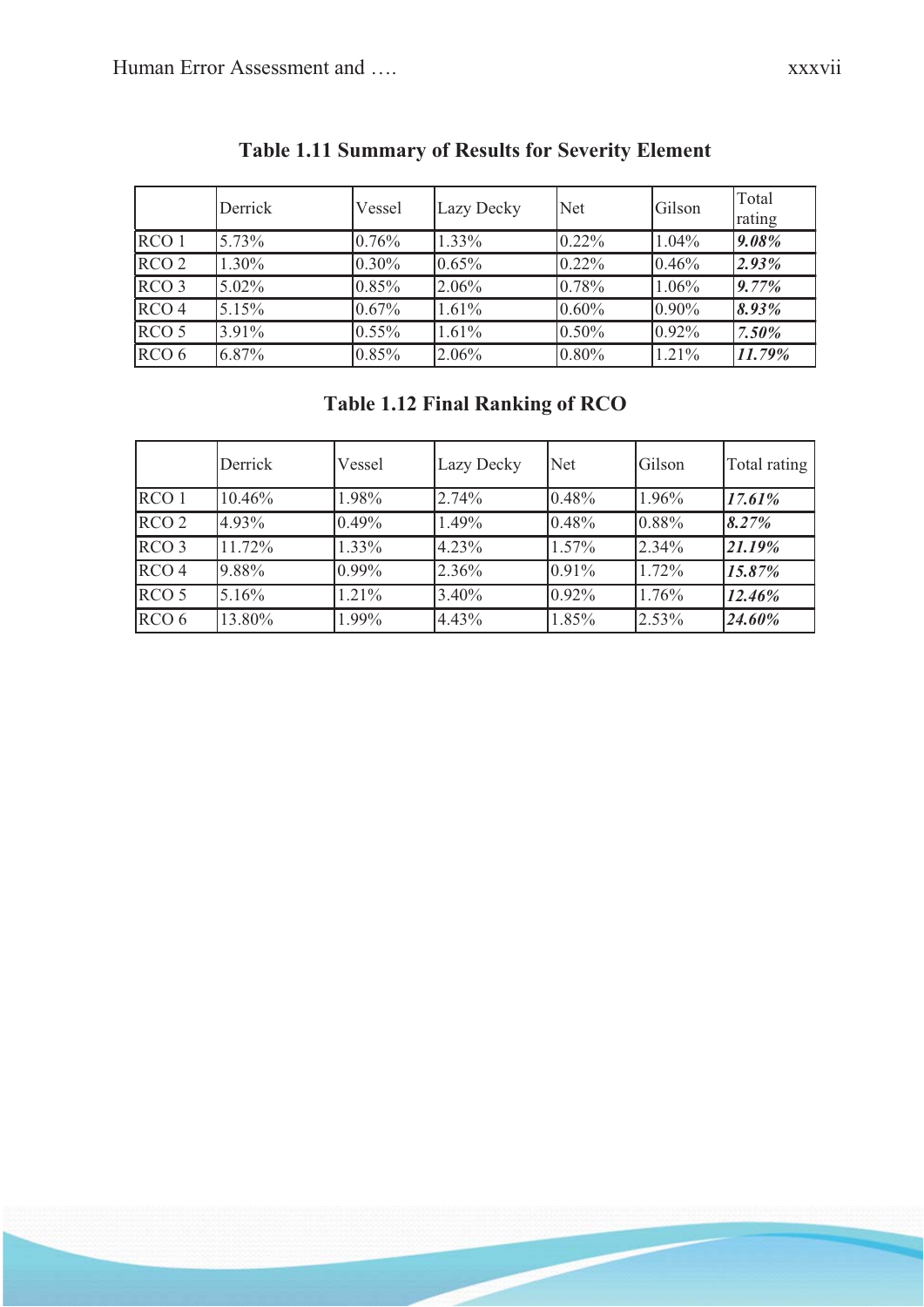|                  | Derrick  | Vessel   | Lazy Decky | <b>Net</b> | Gilson   | Total<br>rating |
|------------------|----------|----------|------------|------------|----------|-----------------|
| RCO <sub>1</sub> | $5.73\%$ | 0.76%    | 1.33%      | $0.22\%$   | $1.04\%$ | 9.08%           |
| RCO <sub>2</sub> | 1.30%    | $0.30\%$ | $0.65\%$   | $0.22\%$   | 0.46%    | 2.93%           |
| RCO <sub>3</sub> | $5.02\%$ | 0.85%    | 2.06%      | 0.78%      | $1.06\%$ | 9.77%           |
| RCO <sub>4</sub> | 5.15%    | 0.67%    | $1.61\%$   | $0.60\%$   | $0.90\%$ | 8.93%           |
| RCO <sub>5</sub> | 3.91%    | $0.55\%$ | 1.61%      | $0.50\%$   | $0.92\%$ | 7.50%           |
| RCO <sub>6</sub> | 6.87%    | 0.85%    | 2.06%      | $0.80\%$   | $1.21\%$ | 11.79%          |

# **Table 1.11 Summary of Results for Severity Element**

# **Table 1.12 Final Ranking of RCO**

|                  | Derrick | Vessel   | Lazy Decky | Net   | Gilson | Total rating |
|------------------|---------|----------|------------|-------|--------|--------------|
| RCO <sub>1</sub> | 10.46%  | 1.98%    | 2.74%      | 0.48% | 1.96%  | 17.61%       |
| RCO <sub>2</sub> | 4.93%   | 0.49%    | 1.49%      | 0.48% | 0.88%  | 8.27%        |
| RCO <sub>3</sub> | 11.72%  | $1.33\%$ | $4.23\%$   | 1.57% | 2.34%  | 21.19%       |
| RCO <sub>4</sub> | 9.88%   | 0.99%    | 2.36%      | 0.91% | 1.72%  | 15.87%       |
| RCO <sub>5</sub> | 5.16%   | 1.21%    | 3.40%      | 0.92% | 1.76%  | 12.46%       |
| RCO <sub>6</sub> | 13.80%  | 1.99%    | $4.43\%$   | 1.85% | 2.53%  | 24.60%       |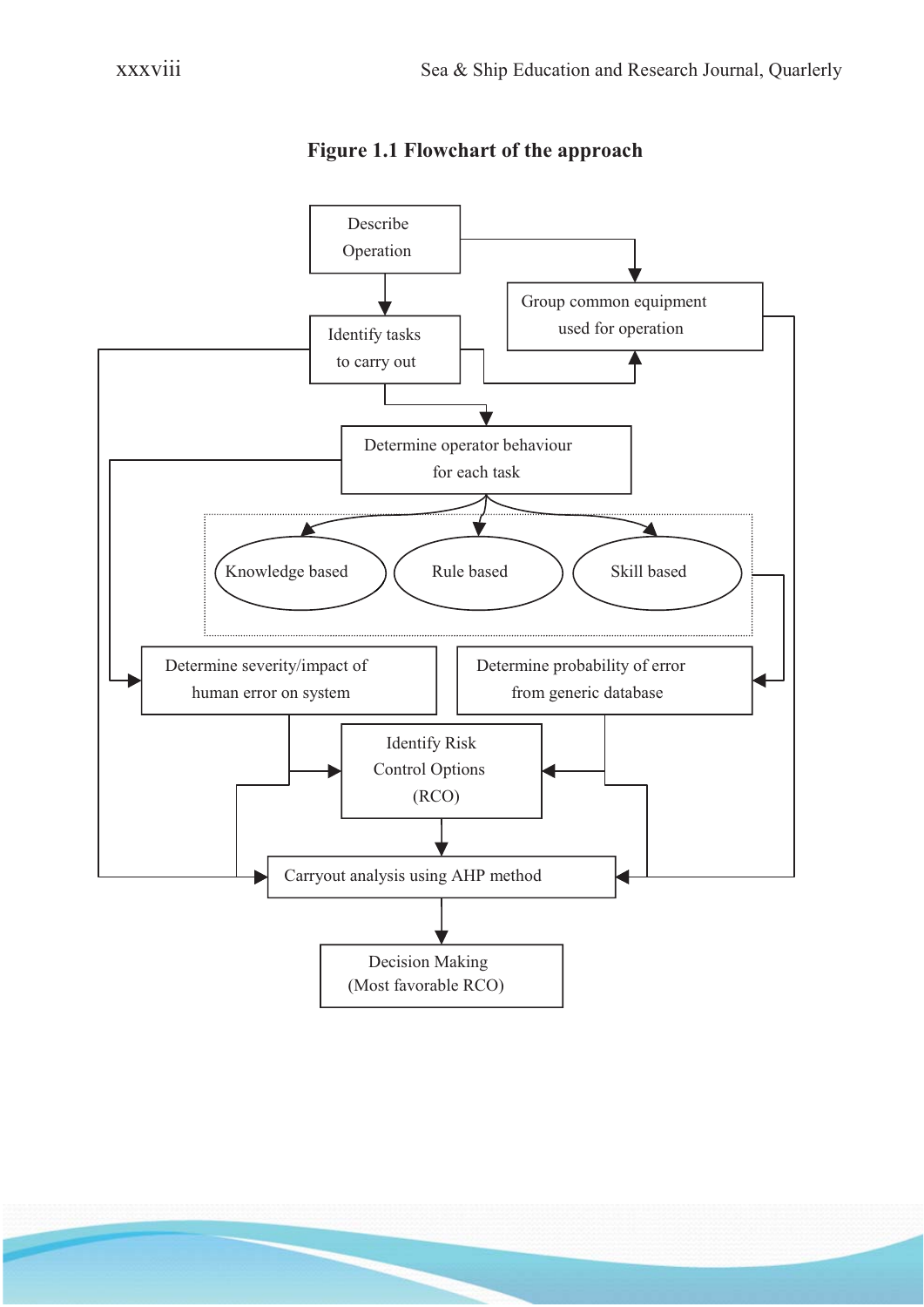

**Figure 1.1 Flowchart of the approach**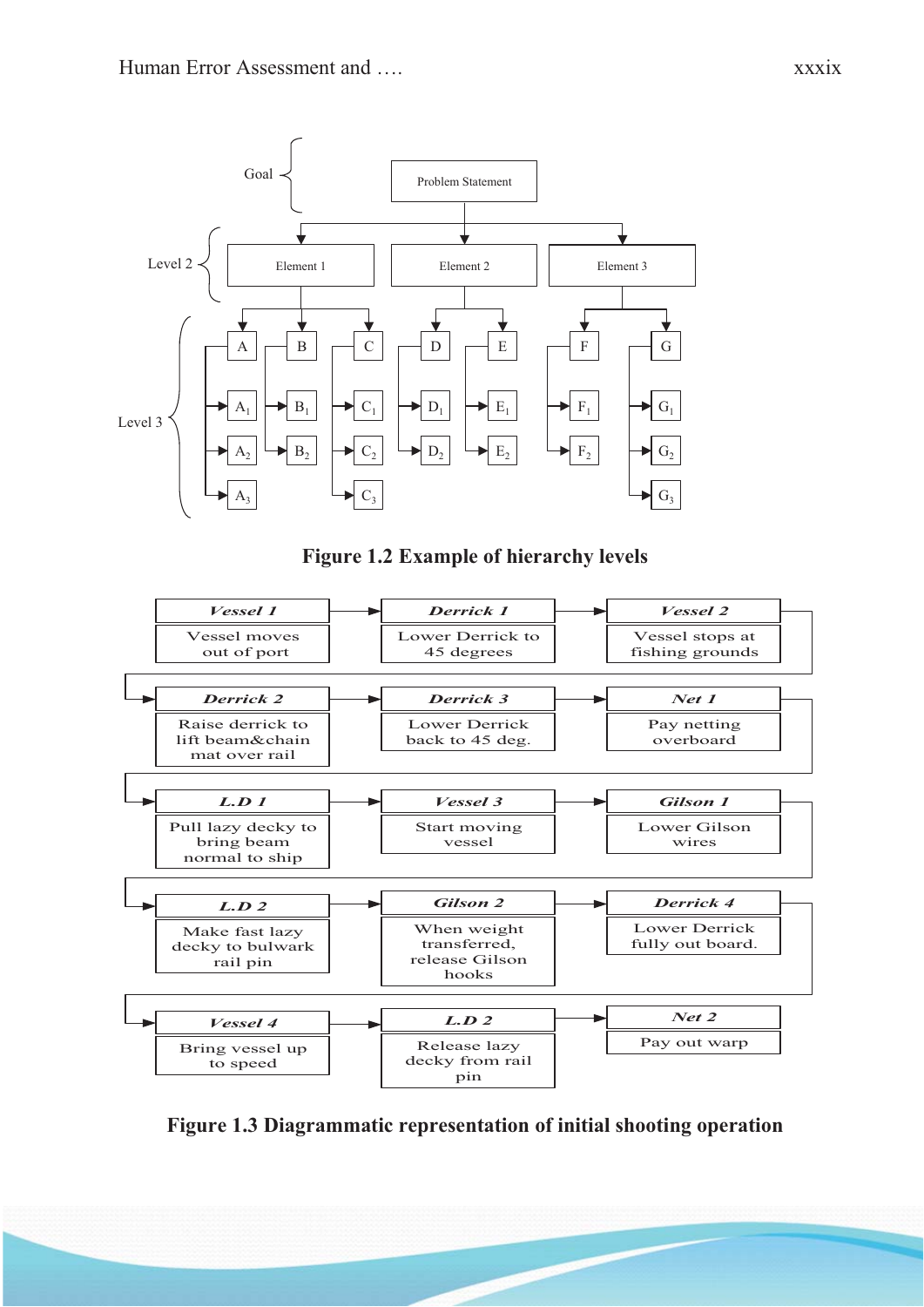Goal





**Figure 1.2 Example of hierarchy levels**



**Figure 1.3 Diagrammatic representation of initial shooting operation**